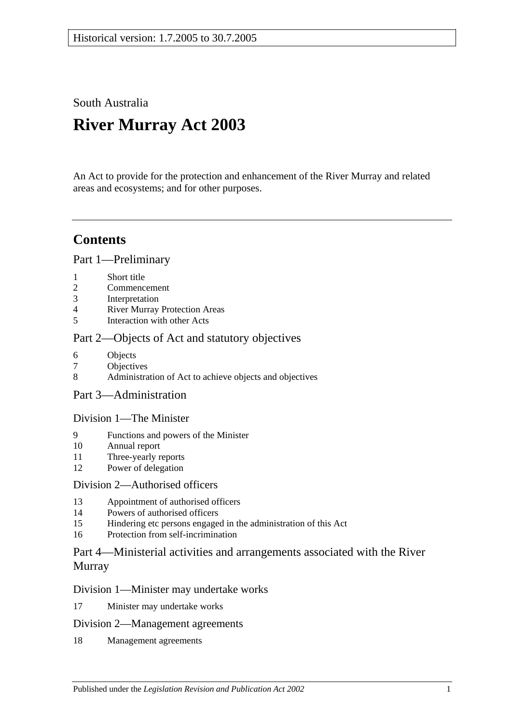South Australia

# **River Murray Act 2003**

An Act to provide for the protection and enhancement of the River Murray and related areas and ecosystems; and for other purposes.

## **Contents**

[Part 1—Preliminary](#page-2-0)

- 1 [Short title](#page-2-1)
- 2 [Commencement](#page-2-2)
- 3 [Interpretation](#page-2-3)
- 4 [River Murray Protection Areas](#page-5-0)
- 5 [Interaction with other Acts](#page-5-1)

### [Part 2—Objects of Act and statutory objectives](#page-6-0)

- 6 [Objects](#page-6-1)
- 7 [Objectives](#page-7-0)
- 8 [Administration of Act to achieve objects and objectives](#page-8-0)
- [Part 3—Administration](#page-9-0)

### [Division 1—The Minister](#page-9-1)

- 9 [Functions and powers of the Minister](#page-9-2)
- 10 [Annual report](#page-11-0)
- 11 [Three-yearly reports](#page-11-1)
- 12 [Power of delegation](#page-11-2)

### [Division 2—Authorised officers](#page-12-0)

- 13 [Appointment of authorised officers](#page-12-1)
- 14 [Powers of authorised officers](#page-12-2)
- 15 [Hindering etc persons engaged in the administration of this Act](#page-14-0)
- 16 [Protection from self-incrimination](#page-15-0)

### [Part 4—Ministerial activities and arrangements associated with the River](#page-15-1)  [Murray](#page-15-1)

### [Division 1—Minister may undertake works](#page-15-2)

17 [Minister may undertake works](#page-15-3)

### [Division 2—Management agreements](#page-16-0)

18 [Management agreements](#page-16-1)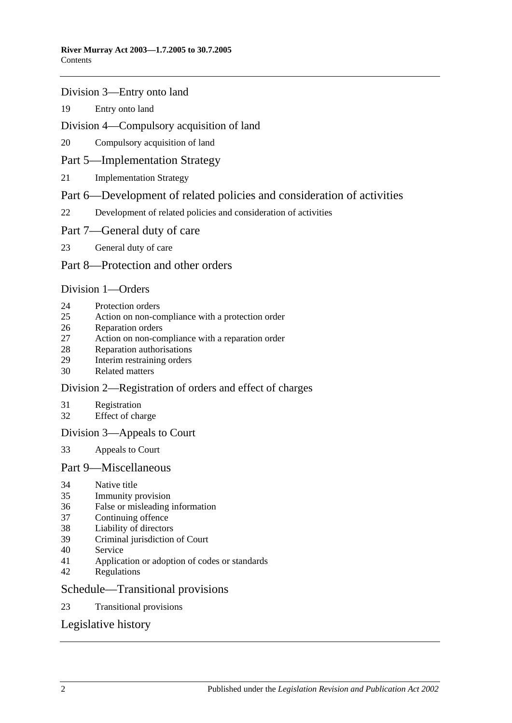### [Division 3—Entry onto land](#page-17-0)

[Entry onto land](#page-17-1)

### [Division 4—Compulsory acquisition of land](#page-18-0)

[Compulsory acquisition of land](#page-18-1)

### [Part 5—Implementation Strategy](#page-18-2)

[Implementation Strategy](#page-18-3)

### [Part 6—Development of related policies and consideration of activities](#page-19-0)

[Development of related policies and consideration of activities](#page-19-1)

### [Part 7—General duty of care](#page-23-0)

[General duty of care](#page-23-1)

### [Part 8—Protection and other orders](#page-24-0)

### [Division 1—Orders](#page-24-1)

- [Protection orders](#page-24-2)
- [Action on non-compliance with a protection order](#page-26-0)
- [Reparation orders](#page-27-0)
- [Action on non-compliance with a reparation order](#page-28-0)
- [Reparation authorisations](#page-29-0)
- [Interim restraining orders](#page-30-0)
- [Related matters](#page-30-1)

### [Division 2—Registration of orders and effect of charges](#page-31-0)

- [Registration](#page-31-1)
- [Effect of charge](#page-32-0)

### [Division 3—Appeals to Court](#page-32-1)

[Appeals to Court](#page-32-2)

### [Part 9—Miscellaneous](#page-33-0)

- [Native title](#page-33-1)
- [Immunity provision](#page-33-2)
- [False or misleading information](#page-34-0)
- [Continuing offence](#page-34-1)
- [Liability of directors](#page-34-2)
- [Criminal jurisdiction of Court](#page-34-3)
- [Service](#page-34-4)
- [Application or adoption of codes or standards](#page-35-0)
- [Regulations](#page-35-1)

### [Schedule—Transitional provisions](#page-37-0)

[Transitional provisions](#page-37-1)

### [Legislative history](#page-39-0)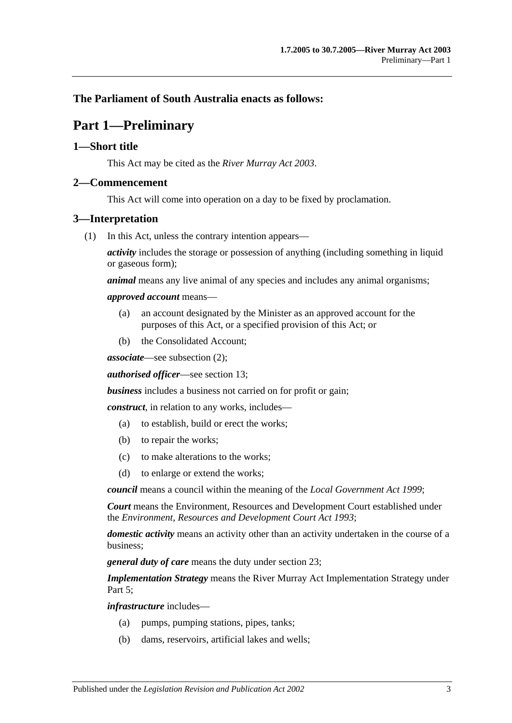### <span id="page-2-0"></span>**The Parliament of South Australia enacts as follows:**

## **Part 1—Preliminary**

### <span id="page-2-1"></span>**1—Short title**

This Act may be cited as the *River Murray Act 2003*.

### <span id="page-2-2"></span>**2—Commencement**

This Act will come into operation on a day to be fixed by proclamation.

### <span id="page-2-3"></span>**3—Interpretation**

(1) In this Act, unless the contrary intention appears—

*activity* includes the storage or possession of anything (including something in liquid or gaseous form);

*animal* means any live animal of any species and includes any animal organisms;

#### *approved account* means—

- (a) an account designated by the Minister as an approved account for the purposes of this Act, or a specified provision of this Act; or
- (b) the Consolidated Account;

*associate*—see [subsection](#page-4-0) (2);

*authorised officer*—see [section](#page-12-1) 13;

*business* includes a business not carried on for profit or gain;

*construct*, in relation to any works, includes—

- (a) to establish, build or erect the works;
- (b) to repair the works;
- (c) to make alterations to the works;
- (d) to enlarge or extend the works;

*council* means a council within the meaning of the *[Local Government](http://www.legislation.sa.gov.au/index.aspx?action=legref&type=act&legtitle=Local%20Government%20Act%201999) Act 1999*;

*Court* means the Environment, Resources and Development Court established under the *[Environment, Resources and Development Court Act](http://www.legislation.sa.gov.au/index.aspx?action=legref&type=act&legtitle=Environment%20Resources%20and%20Development%20Court%20Act%201993) 1993*;

*domestic activity* means an activity other than an activity undertaken in the course of a business;

*general duty of care* means the duty under [section](#page-23-1) 23;

*Implementation Strategy* means the River Murray Act Implementation Strategy under Part 5:

*infrastructure* includes—

- (a) pumps, pumping stations, pipes, tanks;
- (b) dams, reservoirs, artificial lakes and wells;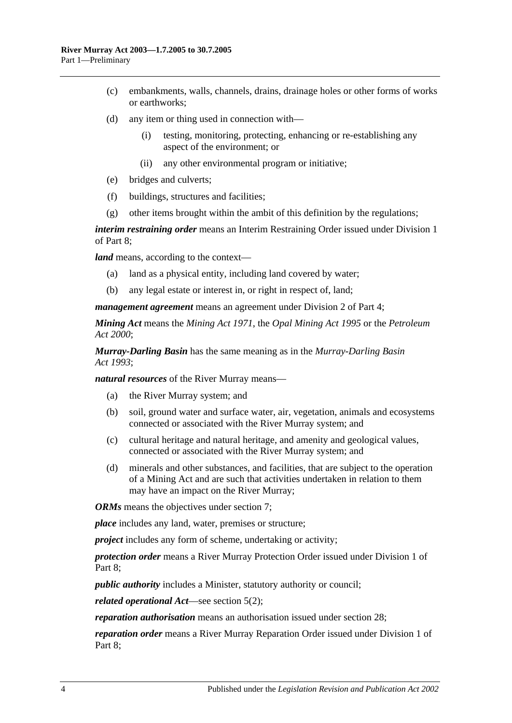- (c) embankments, walls, channels, drains, drainage holes or other forms of works or earthworks;
- (d) any item or thing used in connection with—
	- (i) testing, monitoring, protecting, enhancing or re-establishing any aspect of the environment; or
	- (ii) any other environmental program or initiative;
- (e) bridges and culverts;
- (f) buildings, structures and facilities;
- (g) other items brought within the ambit of this definition by the regulations;

*interim restraining order* means an Interim Restraining Order issued under [Division 1](#page-24-1) of [Part 8;](#page-24-0)

*land* means, according to the context—

- (a) land as a physical entity, including land covered by water;
- (b) any legal estate or interest in, or right in respect of, land;

*management agreement* means an agreement under [Division 2](#page-16-0) of [Part 4;](#page-15-1)

*Mining Act* means the *[Mining Act](http://www.legislation.sa.gov.au/index.aspx?action=legref&type=act&legtitle=Mining%20Act%201971) 1971*, the *[Opal Mining Act](http://www.legislation.sa.gov.au/index.aspx?action=legref&type=act&legtitle=Opal%20Mining%20Act%201995) 1995* or the *[Petroleum](http://www.legislation.sa.gov.au/index.aspx?action=legref&type=act&legtitle=Petroleum%20Act%202000)  Act [2000](http://www.legislation.sa.gov.au/index.aspx?action=legref&type=act&legtitle=Petroleum%20Act%202000)*;

*Murray-Darling Basin* has the same meaning as in the *[Murray-Darling Basin](http://www.legislation.sa.gov.au/index.aspx?action=legref&type=act&legtitle=Murray-Darling%20Basin%20Act%201993)  Act [1993](http://www.legislation.sa.gov.au/index.aspx?action=legref&type=act&legtitle=Murray-Darling%20Basin%20Act%201993)*;

*natural resources* of the River Murray means—

- (a) the River Murray system; and
- (b) soil, ground water and surface water, air, vegetation, animals and ecosystems connected or associated with the River Murray system; and
- (c) cultural heritage and natural heritage, and amenity and geological values, connected or associated with the River Murray system; and
- (d) minerals and other substances, and facilities, that are subject to the operation of a Mining Act and are such that activities undertaken in relation to them may have an impact on the River Murray;

*ORMs* means the objectives under [section](#page-7-0) 7:

*place* includes any land, water, premises or structure;

*project* includes any form of scheme, undertaking or activity;

*protection order* means a River Murray Protection Order issued under [Division 1](#page-24-1) of [Part 8;](#page-24-0)

*public authority* includes a Minister, statutory authority or council;

*related operational Act*—see [section](#page-5-2) 5(2);

*reparation authorisation* means an authorisation issued under [section](#page-29-0) 28;

*reparation order* means a River Murray Reparation Order issued under [Division 1](#page-24-1) of [Part 8;](#page-24-0)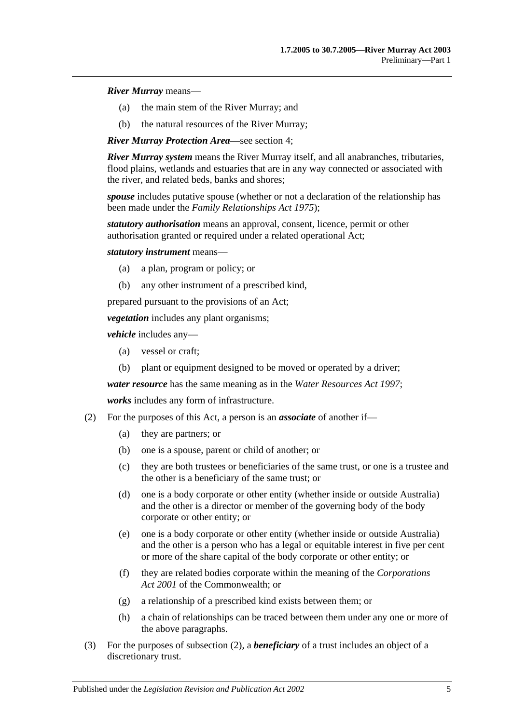#### *River Murray* means—

- (a) the main stem of the River Murray; and
- (b) the natural resources of the River Murray;

*River Murray Protection Area*—see [section](#page-5-0) 4;

*River Murray system* means the River Murray itself, and all anabranches, tributaries, flood plains, wetlands and estuaries that are in any way connected or associated with the river, and related beds, banks and shores;

*spouse* includes putative spouse (whether or not a declaration of the relationship has been made under the *[Family Relationships Act](http://www.legislation.sa.gov.au/index.aspx?action=legref&type=act&legtitle=Family%20Relationships%20Act%201975) 1975*);

*statutory authorisation* means an approval, consent, licence, permit or other authorisation granted or required under a related operational Act;

*statutory instrument* means—

- (a) a plan, program or policy; or
- (b) any other instrument of a prescribed kind,

prepared pursuant to the provisions of an Act;

*vegetation* includes any plant organisms;

*vehicle* includes any—

- (a) vessel or craft;
- (b) plant or equipment designed to be moved or operated by a driver;

*water resource* has the same meaning as in the *[Water Resources Act](http://www.legislation.sa.gov.au/index.aspx?action=legref&type=act&legtitle=Water%20Resources%20Act%201997) 1997*;

*works* includes any form of infrastructure.

- <span id="page-4-0"></span>(2) For the purposes of this Act, a person is an *associate* of another if—
	- (a) they are partners; or
	- (b) one is a spouse, parent or child of another; or
	- (c) they are both trustees or beneficiaries of the same trust, or one is a trustee and the other is a beneficiary of the same trust; or
	- (d) one is a body corporate or other entity (whether inside or outside Australia) and the other is a director or member of the governing body of the body corporate or other entity; or
	- (e) one is a body corporate or other entity (whether inside or outside Australia) and the other is a person who has a legal or equitable interest in five per cent or more of the share capital of the body corporate or other entity; or
	- (f) they are related bodies corporate within the meaning of the *Corporations Act 2001* of the Commonwealth; or
	- (g) a relationship of a prescribed kind exists between them; or
	- (h) a chain of relationships can be traced between them under any one or more of the above paragraphs.
- (3) For the purposes of [subsection](#page-4-0) (2), a *beneficiary* of a trust includes an object of a discretionary trust.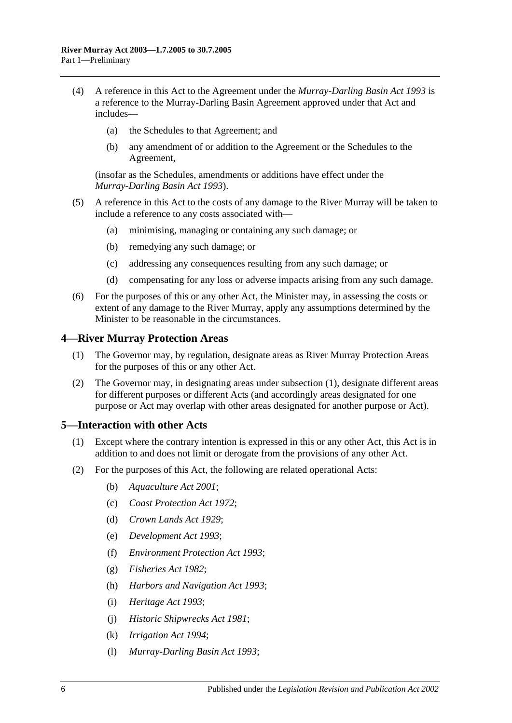- (4) A reference in this Act to the Agreement under the *[Murray-Darling Basin Act](http://www.legislation.sa.gov.au/index.aspx?action=legref&type=act&legtitle=Murray-Darling%20Basin%20Act%201993) 1993* is a reference to the Murray-Darling Basin Agreement approved under that Act and includes—
	- (a) the Schedules to that Agreement; and
	- (b) any amendment of or addition to the Agreement or the Schedules to the Agreement,

(insofar as the Schedules, amendments or additions have effect under the *[Murray-Darling Basin Act](http://www.legislation.sa.gov.au/index.aspx?action=legref&type=act&legtitle=Murray-Darling%20Basin%20Act%201993) 1993*).

- (5) A reference in this Act to the costs of any damage to the River Murray will be taken to include a reference to any costs associated with—
	- (a) minimising, managing or containing any such damage; or
	- (b) remedying any such damage; or
	- (c) addressing any consequences resulting from any such damage; or
	- (d) compensating for any loss or adverse impacts arising from any such damage.
- (6) For the purposes of this or any other Act, the Minister may, in assessing the costs or extent of any damage to the River Murray, apply any assumptions determined by the Minister to be reasonable in the circumstances.

#### <span id="page-5-3"></span><span id="page-5-0"></span>**4—River Murray Protection Areas**

- (1) The Governor may, by regulation, designate areas as River Murray Protection Areas for the purposes of this or any other Act.
- (2) The Governor may, in designating areas under [subsection](#page-5-3) (1), designate different areas for different purposes or different Acts (and accordingly areas designated for one purpose or Act may overlap with other areas designated for another purpose or Act).

#### <span id="page-5-1"></span>**5—Interaction with other Acts**

- (1) Except where the contrary intention is expressed in this or any other Act, this Act is in addition to and does not limit or derogate from the provisions of any other Act.
- <span id="page-5-2"></span>(2) For the purposes of this Act, the following are related operational Acts:
	- (b) *[Aquaculture Act](http://www.legislation.sa.gov.au/index.aspx?action=legref&type=act&legtitle=Aquaculture%20Act%202001) 2001*;
	- (c) *[Coast Protection Act](http://www.legislation.sa.gov.au/index.aspx?action=legref&type=act&legtitle=Coast%20Protection%20Act%201972) 1972*;
	- (d) *[Crown Lands Act](http://www.legislation.sa.gov.au/index.aspx?action=legref&type=act&legtitle=Crown%20Lands%20Act%201929) 1929*;
	- (e) *[Development Act](http://www.legislation.sa.gov.au/index.aspx?action=legref&type=act&legtitle=Development%20Act%201993) 1993*;
	- (f) *[Environment Protection Act](http://www.legislation.sa.gov.au/index.aspx?action=legref&type=act&legtitle=Environment%20Protection%20Act%201993) 1993*;
	- (g) *[Fisheries Act](http://www.legislation.sa.gov.au/index.aspx?action=legref&type=act&legtitle=Fisheries%20Act%201982) 1982*;
	- (h) *[Harbors and Navigation Act](http://www.legislation.sa.gov.au/index.aspx?action=legref&type=act&legtitle=Harbors%20and%20Navigation%20Act%201993) 1993*;
	- (i) *[Heritage Act](http://www.legislation.sa.gov.au/index.aspx?action=legref&type=act&legtitle=Heritage%20Act%201993) 1993*;
	- (j) *[Historic Shipwrecks Act](http://www.legislation.sa.gov.au/index.aspx?action=legref&type=act&legtitle=Historic%20Shipwrecks%20Act%201981) 1981*;
	- (k) *[Irrigation Act](http://www.legislation.sa.gov.au/index.aspx?action=legref&type=act&legtitle=Irrigation%20Act%201994) 1994*;
	- (l) *[Murray-Darling Basin Act](http://www.legislation.sa.gov.au/index.aspx?action=legref&type=act&legtitle=Murray-Darling%20Basin%20Act%201993) 1993*;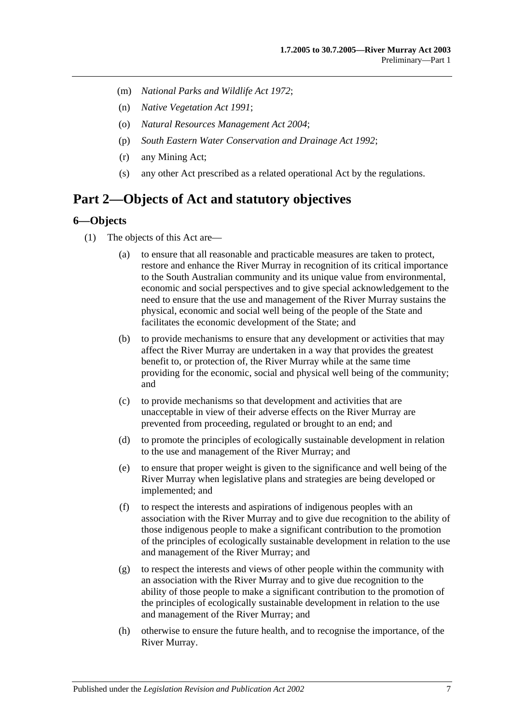- (m) *[National Parks and Wildlife Act](http://www.legislation.sa.gov.au/index.aspx?action=legref&type=act&legtitle=National%20Parks%20and%20Wildlife%20Act%201972) 1972*;
- (n) *[Native Vegetation Act](http://www.legislation.sa.gov.au/index.aspx?action=legref&type=act&legtitle=Native%20Vegetation%20Act%201991) 1991*;
- (o) *[Natural Resources Management Act](http://www.legislation.sa.gov.au/index.aspx?action=legref&type=act&legtitle=Natural%20Resources%20Management%20Act%202004) 2004*;
- (p) *[South Eastern Water Conservation and Drainage Act](http://www.legislation.sa.gov.au/index.aspx?action=legref&type=act&legtitle=South%20Eastern%20Water%20Conservation%20and%20Drainage%20Act%201992) 1992*;
- (r) any Mining Act;
- (s) any other Act prescribed as a related operational Act by the regulations.

### <span id="page-6-0"></span>**Part 2—Objects of Act and statutory objectives**

#### <span id="page-6-1"></span>**6—Objects**

- (1) The objects of this Act are—
	- (a) to ensure that all reasonable and practicable measures are taken to protect, restore and enhance the River Murray in recognition of its critical importance to the South Australian community and its unique value from environmental, economic and social perspectives and to give special acknowledgement to the need to ensure that the use and management of the River Murray sustains the physical, economic and social well being of the people of the State and facilitates the economic development of the State; and
	- (b) to provide mechanisms to ensure that any development or activities that may affect the River Murray are undertaken in a way that provides the greatest benefit to, or protection of, the River Murray while at the same time providing for the economic, social and physical well being of the community; and
	- (c) to provide mechanisms so that development and activities that are unacceptable in view of their adverse effects on the River Murray are prevented from proceeding, regulated or brought to an end; and
	- (d) to promote the principles of ecologically sustainable development in relation to the use and management of the River Murray; and
	- (e) to ensure that proper weight is given to the significance and well being of the River Murray when legislative plans and strategies are being developed or implemented; and
	- (f) to respect the interests and aspirations of indigenous peoples with an association with the River Murray and to give due recognition to the ability of those indigenous people to make a significant contribution to the promotion of the principles of ecologically sustainable development in relation to the use and management of the River Murray; and
	- (g) to respect the interests and views of other people within the community with an association with the River Murray and to give due recognition to the ability of those people to make a significant contribution to the promotion of the principles of ecologically sustainable development in relation to the use and management of the River Murray; and
	- (h) otherwise to ensure the future health, and to recognise the importance, of the River Murray.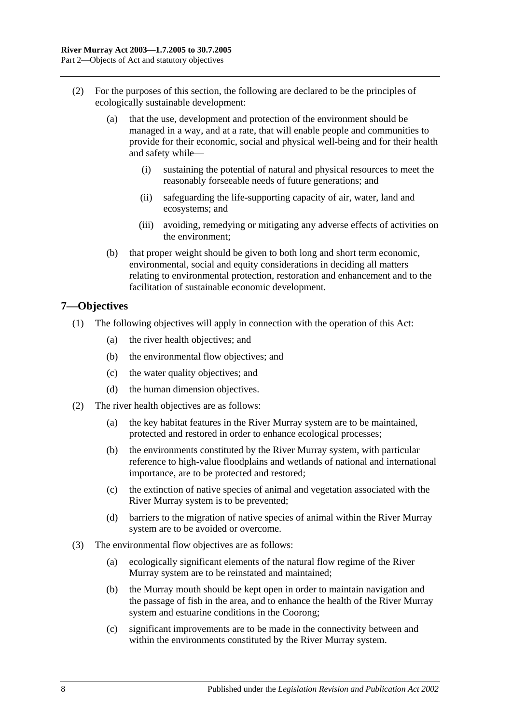- (2) For the purposes of this section, the following are declared to be the principles of ecologically sustainable development:
	- (a) that the use, development and protection of the environment should be managed in a way, and at a rate, that will enable people and communities to provide for their economic, social and physical well-being and for their health and safety while—
		- (i) sustaining the potential of natural and physical resources to meet the reasonably forseeable needs of future generations; and
		- (ii) safeguarding the life-supporting capacity of air, water, land and ecosystems; and
		- (iii) avoiding, remedying or mitigating any adverse effects of activities on the environment;
	- (b) that proper weight should be given to both long and short term economic, environmental, social and equity considerations in deciding all matters relating to environmental protection, restoration and enhancement and to the facilitation of sustainable economic development.

### <span id="page-7-0"></span>**7—Objectives**

- (1) The following objectives will apply in connection with the operation of this Act:
	- (a) the river health objectives; and
	- (b) the environmental flow objectives; and
	- (c) the water quality objectives; and
	- (d) the human dimension objectives.
- (2) The river health objectives are as follows:
	- (a) the key habitat features in the River Murray system are to be maintained, protected and restored in order to enhance ecological processes;
	- (b) the environments constituted by the River Murray system, with particular reference to high-value floodplains and wetlands of national and international importance, are to be protected and restored;
	- (c) the extinction of native species of animal and vegetation associated with the River Murray system is to be prevented;
	- (d) barriers to the migration of native species of animal within the River Murray system are to be avoided or overcome.
- (3) The environmental flow objectives are as follows:
	- (a) ecologically significant elements of the natural flow regime of the River Murray system are to be reinstated and maintained;
	- (b) the Murray mouth should be kept open in order to maintain navigation and the passage of fish in the area, and to enhance the health of the River Murray system and estuarine conditions in the Coorong;
	- (c) significant improvements are to be made in the connectivity between and within the environments constituted by the River Murray system.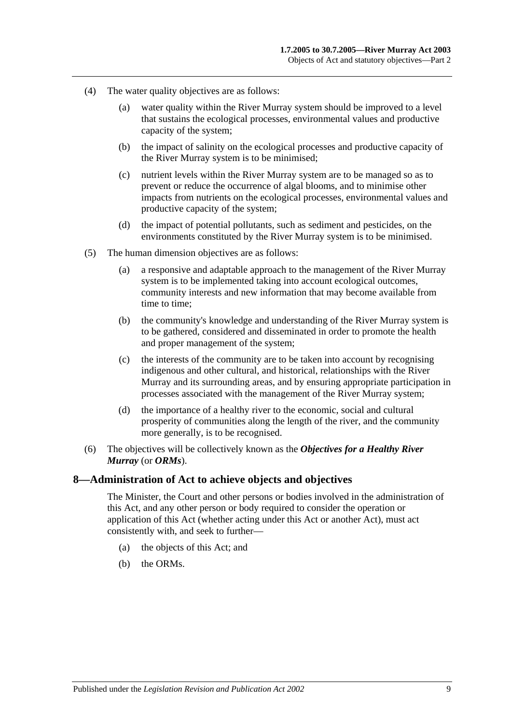- (4) The water quality objectives are as follows:
	- (a) water quality within the River Murray system should be improved to a level that sustains the ecological processes, environmental values and productive capacity of the system;
	- (b) the impact of salinity on the ecological processes and productive capacity of the River Murray system is to be minimised;
	- (c) nutrient levels within the River Murray system are to be managed so as to prevent or reduce the occurrence of algal blooms, and to minimise other impacts from nutrients on the ecological processes, environmental values and productive capacity of the system;
	- (d) the impact of potential pollutants, such as sediment and pesticides, on the environments constituted by the River Murray system is to be minimised.
- (5) The human dimension objectives are as follows:
	- (a) a responsive and adaptable approach to the management of the River Murray system is to be implemented taking into account ecological outcomes, community interests and new information that may become available from time to time;
	- (b) the community's knowledge and understanding of the River Murray system is to be gathered, considered and disseminated in order to promote the health and proper management of the system;
	- (c) the interests of the community are to be taken into account by recognising indigenous and other cultural, and historical, relationships with the River Murray and its surrounding areas, and by ensuring appropriate participation in processes associated with the management of the River Murray system;
	- (d) the importance of a healthy river to the economic, social and cultural prosperity of communities along the length of the river, and the community more generally, is to be recognised.
- (6) The objectives will be collectively known as the *Objectives for a Healthy River Murray* (or *ORMs*).

#### <span id="page-8-0"></span>**8—Administration of Act to achieve objects and objectives**

The Minister, the Court and other persons or bodies involved in the administration of this Act, and any other person or body required to consider the operation or application of this Act (whether acting under this Act or another Act), must act consistently with, and seek to further—

- (a) the objects of this Act; and
- (b) the ORMs.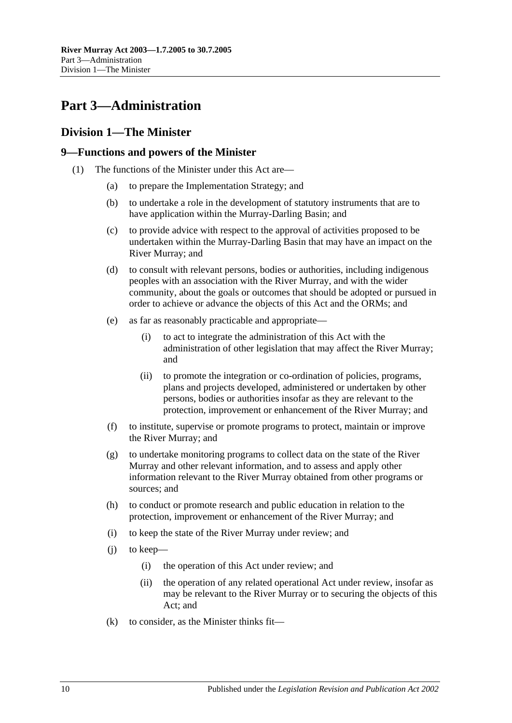## <span id="page-9-0"></span>**Part 3—Administration**

### <span id="page-9-1"></span>**Division 1—The Minister**

### <span id="page-9-2"></span>**9—Functions and powers of the Minister**

- <span id="page-9-3"></span>(1) The functions of the Minister under this Act are—
	- (a) to prepare the Implementation Strategy; and
	- (b) to undertake a role in the development of statutory instruments that are to have application within the Murray-Darling Basin; and
	- (c) to provide advice with respect to the approval of activities proposed to be undertaken within the Murray-Darling Basin that may have an impact on the River Murray; and
	- (d) to consult with relevant persons, bodies or authorities, including indigenous peoples with an association with the River Murray, and with the wider community, about the goals or outcomes that should be adopted or pursued in order to achieve or advance the objects of this Act and the ORMs; and
	- (e) as far as reasonably practicable and appropriate—
		- (i) to act to integrate the administration of this Act with the administration of other legislation that may affect the River Murray; and
		- (ii) to promote the integration or co-ordination of policies, programs, plans and projects developed, administered or undertaken by other persons, bodies or authorities insofar as they are relevant to the protection, improvement or enhancement of the River Murray; and
	- (f) to institute, supervise or promote programs to protect, maintain or improve the River Murray; and
	- (g) to undertake monitoring programs to collect data on the state of the River Murray and other relevant information, and to assess and apply other information relevant to the River Murray obtained from other programs or sources; and
	- (h) to conduct or promote research and public education in relation to the protection, improvement or enhancement of the River Murray; and
	- (i) to keep the state of the River Murray under review; and
	- (j) to keep—
		- (i) the operation of this Act under review; and
		- (ii) the operation of any related operational Act under review, insofar as may be relevant to the River Murray or to securing the objects of this Act; and
	- $(k)$  to consider, as the Minister thinks fit—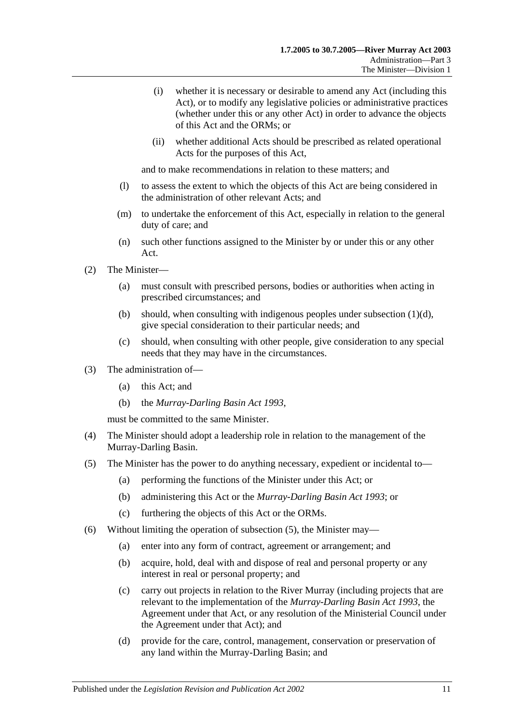- (i) whether it is necessary or desirable to amend any Act (including this Act), or to modify any legislative policies or administrative practices (whether under this or any other Act) in order to advance the objects of this Act and the ORMs; or
- (ii) whether additional Acts should be prescribed as related operational Acts for the purposes of this Act,

and to make recommendations in relation to these matters; and

- (l) to assess the extent to which the objects of this Act are being considered in the administration of other relevant Acts; and
- (m) to undertake the enforcement of this Act, especially in relation to the general duty of care; and
- (n) such other functions assigned to the Minister by or under this or any other Act.
- (2) The Minister—
	- (a) must consult with prescribed persons, bodies or authorities when acting in prescribed circumstances; and
	- (b) should, when consulting with indigenous peoples under [subsection](#page-9-3)  $(1)(d)$ , give special consideration to their particular needs; and
	- (c) should, when consulting with other people, give consideration to any special needs that they may have in the circumstances.
- (3) The administration of—
	- (a) this Act; and
	- (b) the *[Murray-Darling Basin Act](http://www.legislation.sa.gov.au/index.aspx?action=legref&type=act&legtitle=Murray-Darling%20Basin%20Act%201993) 1993*,

must be committed to the same Minister.

- (4) The Minister should adopt a leadership role in relation to the management of the Murray-Darling Basin.
- <span id="page-10-0"></span>(5) The Minister has the power to do anything necessary, expedient or incidental to—
	- (a) performing the functions of the Minister under this Act; or
	- (b) administering this Act or the *[Murray-Darling Basin Act](http://www.legislation.sa.gov.au/index.aspx?action=legref&type=act&legtitle=Murray-Darling%20Basin%20Act%201993) 1993*; or
	- (c) furthering the objects of this Act or the ORMs.
- (6) Without limiting the operation of [subsection](#page-10-0) (5), the Minister may—
	- (a) enter into any form of contract, agreement or arrangement; and
	- (b) acquire, hold, deal with and dispose of real and personal property or any interest in real or personal property; and
	- (c) carry out projects in relation to the River Murray (including projects that are relevant to the implementation of the *[Murray-Darling Basin Act](http://www.legislation.sa.gov.au/index.aspx?action=legref&type=act&legtitle=Murray-Darling%20Basin%20Act%201993) 1993*, the Agreement under that Act, or any resolution of the Ministerial Council under the Agreement under that Act); and
	- (d) provide for the care, control, management, conservation or preservation of any land within the Murray-Darling Basin; and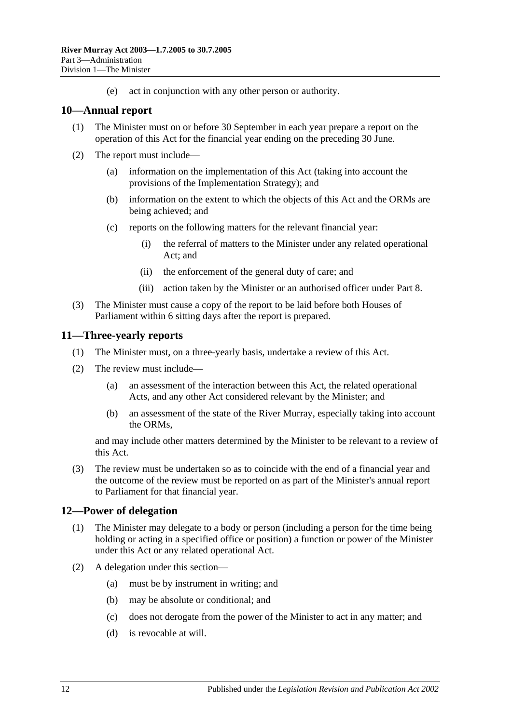(e) act in conjunction with any other person or authority.

### <span id="page-11-0"></span>**10—Annual report**

- (1) The Minister must on or before 30 September in each year prepare a report on the operation of this Act for the financial year ending on the preceding 30 June.
- (2) The report must include—
	- (a) information on the implementation of this Act (taking into account the provisions of the Implementation Strategy); and
	- (b) information on the extent to which the objects of this Act and the ORMs are being achieved; and
	- (c) reports on the following matters for the relevant financial year:
		- (i) the referral of matters to the Minister under any related operational Act; and
		- (ii) the enforcement of the general duty of care; and
		- (iii) action taken by the Minister or an authorised officer under [Part 8.](#page-24-0)
- (3) The Minister must cause a copy of the report to be laid before both Houses of Parliament within 6 sitting days after the report is prepared.

### <span id="page-11-1"></span>**11—Three-yearly reports**

- (1) The Minister must, on a three-yearly basis, undertake a review of this Act.
- (2) The review must include—
	- (a) an assessment of the interaction between this Act, the related operational Acts, and any other Act considered relevant by the Minister; and
	- (b) an assessment of the state of the River Murray, especially taking into account the ORMs,

and may include other matters determined by the Minister to be relevant to a review of this Act.

(3) The review must be undertaken so as to coincide with the end of a financial year and the outcome of the review must be reported on as part of the Minister's annual report to Parliament for that financial year.

### <span id="page-11-2"></span>**12—Power of delegation**

- (1) The Minister may delegate to a body or person (including a person for the time being holding or acting in a specified office or position) a function or power of the Minister under this Act or any related operational Act.
- (2) A delegation under this section—
	- (a) must be by instrument in writing; and
	- (b) may be absolute or conditional; and
	- (c) does not derogate from the power of the Minister to act in any matter; and
	- (d) is revocable at will.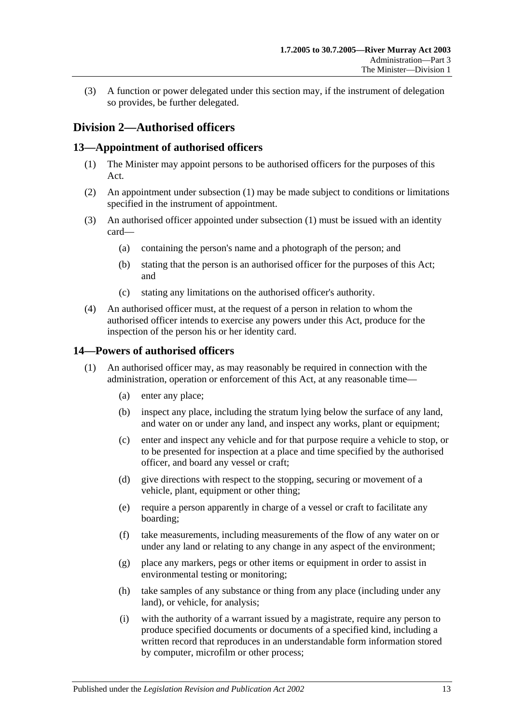(3) A function or power delegated under this section may, if the instrument of delegation so provides, be further delegated.

### <span id="page-12-0"></span>**Division 2—Authorised officers**

### <span id="page-12-3"></span><span id="page-12-1"></span>**13—Appointment of authorised officers**

- (1) The Minister may appoint persons to be authorised officers for the purposes of this Act.
- (2) An appointment under [subsection](#page-12-3) (1) may be made subject to conditions or limitations specified in the instrument of appointment.
- (3) An authorised officer appointed under [subsection](#page-12-3) (1) must be issued with an identity card—
	- (a) containing the person's name and a photograph of the person; and
	- (b) stating that the person is an authorised officer for the purposes of this Act; and
	- (c) stating any limitations on the authorised officer's authority.
- (4) An authorised officer must, at the request of a person in relation to whom the authorised officer intends to exercise any powers under this Act, produce for the inspection of the person his or her identity card.

### <span id="page-12-4"></span><span id="page-12-2"></span>**14—Powers of authorised officers**

- <span id="page-12-5"></span>(1) An authorised officer may, as may reasonably be required in connection with the administration, operation or enforcement of this Act, at any reasonable time—
	- (a) enter any place;
	- (b) inspect any place, including the stratum lying below the surface of any land, and water on or under any land, and inspect any works, plant or equipment;
	- (c) enter and inspect any vehicle and for that purpose require a vehicle to stop, or to be presented for inspection at a place and time specified by the authorised officer, and board any vessel or craft;
	- (d) give directions with respect to the stopping, securing or movement of a vehicle, plant, equipment or other thing;
	- (e) require a person apparently in charge of a vessel or craft to facilitate any boarding;
	- (f) take measurements, including measurements of the flow of any water on or under any land or relating to any change in any aspect of the environment;
	- (g) place any markers, pegs or other items or equipment in order to assist in environmental testing or monitoring;
	- (h) take samples of any substance or thing from any place (including under any land), or vehicle, for analysis;
	- (i) with the authority of a warrant issued by a magistrate, require any person to produce specified documents or documents of a specified kind, including a written record that reproduces in an understandable form information stored by computer, microfilm or other process;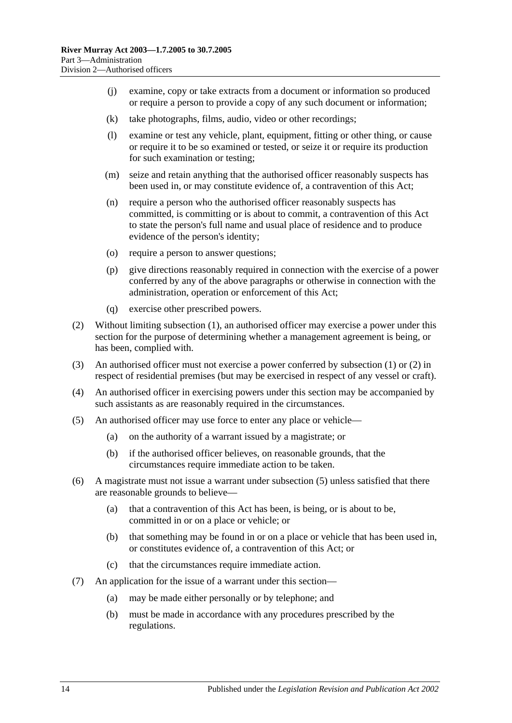- (j) examine, copy or take extracts from a document or information so produced or require a person to provide a copy of any such document or information;
- (k) take photographs, films, audio, video or other recordings;
- (l) examine or test any vehicle, plant, equipment, fitting or other thing, or cause or require it to be so examined or tested, or seize it or require its production for such examination or testing;
- (m) seize and retain anything that the authorised officer reasonably suspects has been used in, or may constitute evidence of, a contravention of this Act;
- (n) require a person who the authorised officer reasonably suspects has committed, is committing or is about to commit, a contravention of this Act to state the person's full name and usual place of residence and to produce evidence of the person's identity;
- (o) require a person to answer questions;
- (p) give directions reasonably required in connection with the exercise of a power conferred by any of the above paragraphs or otherwise in connection with the administration, operation or enforcement of this Act;
- (q) exercise other prescribed powers.
- <span id="page-13-0"></span>(2) Without limiting [subsection](#page-12-4) (1), an authorised officer may exercise a power under this section for the purpose of determining whether a management agreement is being, or has been, complied with.
- (3) An authorised officer must not exercise a power conferred by [subsection](#page-12-4) (1) or [\(2\)](#page-13-0) in respect of residential premises (but may be exercised in respect of any vessel or craft).
- (4) An authorised officer in exercising powers under this section may be accompanied by such assistants as are reasonably required in the circumstances.
- <span id="page-13-1"></span>(5) An authorised officer may use force to enter any place or vehicle—
	- (a) on the authority of a warrant issued by a magistrate; or
	- (b) if the authorised officer believes, on reasonable grounds, that the circumstances require immediate action to be taken.
- (6) A magistrate must not issue a warrant under [subsection](#page-13-1) (5) unless satisfied that there are reasonable grounds to believe—
	- (a) that a contravention of this Act has been, is being, or is about to be, committed in or on a place or vehicle; or
	- (b) that something may be found in or on a place or vehicle that has been used in, or constitutes evidence of, a contravention of this Act; or
	- (c) that the circumstances require immediate action.
- (7) An application for the issue of a warrant under this section—
	- (a) may be made either personally or by telephone; and
	- (b) must be made in accordance with any procedures prescribed by the regulations.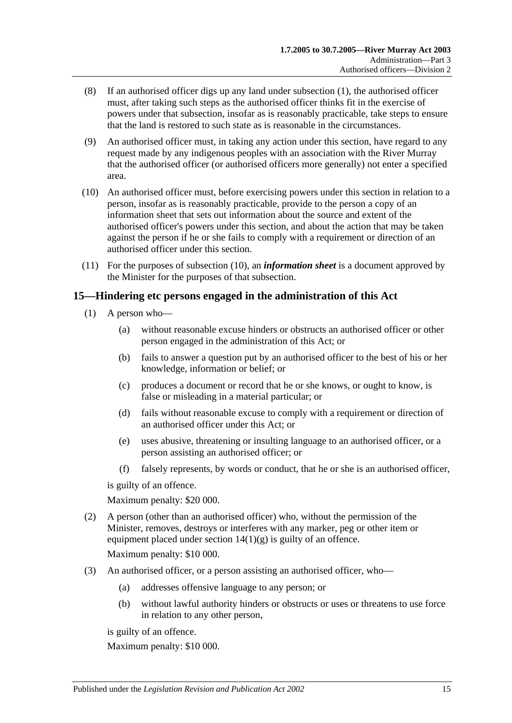- (8) If an authorised officer digs up any land under [subsection](#page-12-4) (1), the authorised officer must, after taking such steps as the authorised officer thinks fit in the exercise of powers under that subsection, insofar as is reasonably practicable, take steps to ensure that the land is restored to such state as is reasonable in the circumstances.
- (9) An authorised officer must, in taking any action under this section, have regard to any request made by any indigenous peoples with an association with the River Murray that the authorised officer (or authorised officers more generally) not enter a specified area.
- <span id="page-14-1"></span>(10) An authorised officer must, before exercising powers under this section in relation to a person, insofar as is reasonably practicable, provide to the person a copy of an information sheet that sets out information about the source and extent of the authorised officer's powers under this section, and about the action that may be taken against the person if he or she fails to comply with a requirement or direction of an authorised officer under this section.
- (11) For the purposes of [subsection](#page-14-1) (10), an *information sheet* is a document approved by the Minister for the purposes of that subsection.

### <span id="page-14-0"></span>**15—Hindering etc persons engaged in the administration of this Act**

- (1) A person who—
	- (a) without reasonable excuse hinders or obstructs an authorised officer or other person engaged in the administration of this Act; or
	- (b) fails to answer a question put by an authorised officer to the best of his or her knowledge, information or belief; or
	- (c) produces a document or record that he or she knows, or ought to know, is false or misleading in a material particular; or
	- (d) fails without reasonable excuse to comply with a requirement or direction of an authorised officer under this Act; or
	- (e) uses abusive, threatening or insulting language to an authorised officer, or a person assisting an authorised officer; or
	- (f) falsely represents, by words or conduct, that he or she is an authorised officer,

is guilty of an offence.

Maximum penalty: \$20 000.

- (2) A person (other than an authorised officer) who, without the permission of the Minister, removes, destroys or interferes with any marker, peg or other item or equipment placed under section  $14(1)(g)$  is guilty of an offence. Maximum penalty: \$10 000.
- (3) An authorised officer, or a person assisting an authorised officer, who—
	- (a) addresses offensive language to any person; or
	- (b) without lawful authority hinders or obstructs or uses or threatens to use force in relation to any other person,

is guilty of an offence.

Maximum penalty: \$10 000.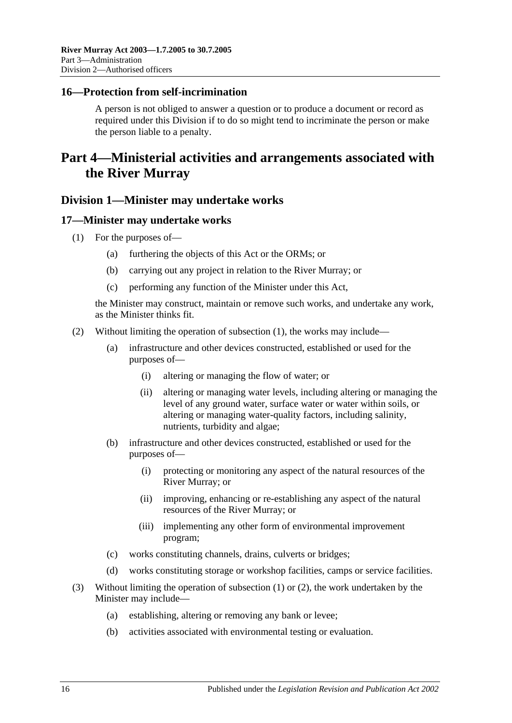### <span id="page-15-0"></span>**16—Protection from self-incrimination**

A person is not obliged to answer a question or to produce a document or record as required under this Division if to do so might tend to incriminate the person or make the person liable to a penalty.

## <span id="page-15-1"></span>**Part 4—Ministerial activities and arrangements associated with the River Murray**

### <span id="page-15-2"></span>**Division 1—Minister may undertake works**

### <span id="page-15-4"></span><span id="page-15-3"></span>**17—Minister may undertake works**

- (1) For the purposes of—
	- (a) furthering the objects of this Act or the ORMs; or
	- (b) carrying out any project in relation to the River Murray; or
	- (c) performing any function of the Minister under this Act,

the Minister may construct, maintain or remove such works, and undertake any work, as the Minister thinks fit.

- <span id="page-15-5"></span>(2) Without limiting the operation of [subsection](#page-15-4) (1), the works may include—
	- (a) infrastructure and other devices constructed, established or used for the purposes of—
		- (i) altering or managing the flow of water; or
		- (ii) altering or managing water levels, including altering or managing the level of any ground water, surface water or water within soils, or altering or managing water-quality factors, including salinity, nutrients, turbidity and algae;
	- (b) infrastructure and other devices constructed, established or used for the purposes of—
		- (i) protecting or monitoring any aspect of the natural resources of the River Murray; or
		- (ii) improving, enhancing or re-establishing any aspect of the natural resources of the River Murray; or
		- (iii) implementing any other form of environmental improvement program;
	- (c) works constituting channels, drains, culverts or bridges;
	- (d) works constituting storage or workshop facilities, camps or service facilities.
- (3) Without limiting the operation of [subsection](#page-15-4) (1) or [\(2\),](#page-15-5) the work undertaken by the Minister may include—
	- (a) establishing, altering or removing any bank or levee;
	- (b) activities associated with environmental testing or evaluation.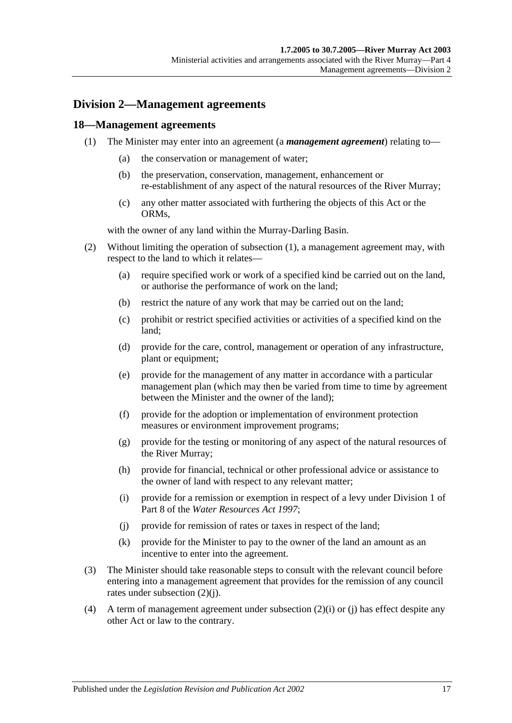### <span id="page-16-0"></span>**Division 2—Management agreements**

### <span id="page-16-2"></span><span id="page-16-1"></span>**18—Management agreements**

- (1) The Minister may enter into an agreement (a *management agreement*) relating to—
	- (a) the conservation or management of water;
	- (b) the preservation, conservation, management, enhancement or re-establishment of any aspect of the natural resources of the River Murray;
	- (c) any other matter associated with furthering the objects of this Act or the ORMs,

with the owner of any land within the Murray-Darling Basin.

- (2) Without limiting the operation of [subsection](#page-16-2) (1), a management agreement may, with respect to the land to which it relates—
	- (a) require specified work or work of a specified kind be carried out on the land, or authorise the performance of work on the land;
	- (b) restrict the nature of any work that may be carried out on the land;
	- (c) prohibit or restrict specified activities or activities of a specified kind on the land;
	- (d) provide for the care, control, management or operation of any infrastructure, plant or equipment;
	- (e) provide for the management of any matter in accordance with a particular management plan (which may then be varied from time to time by agreement between the Minister and the owner of the land);
	- (f) provide for the adoption or implementation of environment protection measures or environment improvement programs;
	- (g) provide for the testing or monitoring of any aspect of the natural resources of the River Murray;
	- (h) provide for financial, technical or other professional advice or assistance to the owner of land with respect to any relevant matter;
	- (i) provide for a remission or exemption in respect of a levy under Division 1 of Part 8 of the *[Water Resources Act](http://www.legislation.sa.gov.au/index.aspx?action=legref&type=act&legtitle=Water%20Resources%20Act%201997) 1997*;
	- (j) provide for remission of rates or taxes in respect of the land;
	- (k) provide for the Minister to pay to the owner of the land an amount as an incentive to enter into the agreement.
- <span id="page-16-4"></span><span id="page-16-3"></span>(3) The Minister should take reasonable steps to consult with the relevant council before entering into a management agreement that provides for the remission of any council rates under [subsection](#page-16-3) (2)(j).
- (4) A term of management agreement under [subsection](#page-16-4) (2)(i) or [\(j\)](#page-16-3) has effect despite any other Act or law to the contrary.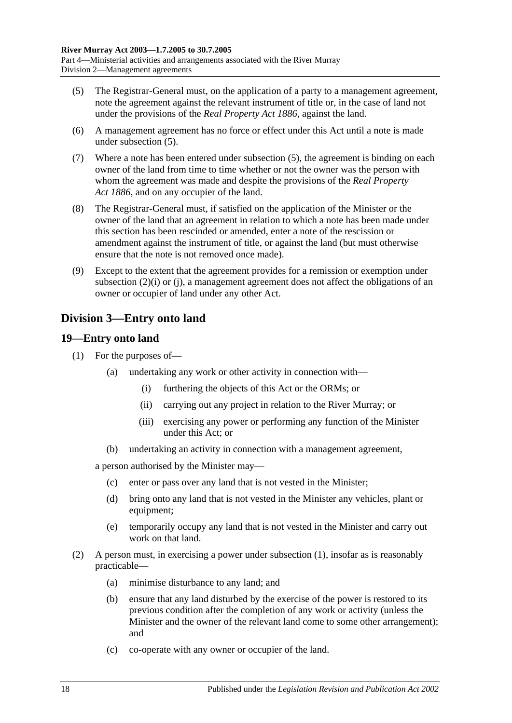- <span id="page-17-2"></span>(5) The Registrar-General must, on the application of a party to a management agreement, note the agreement against the relevant instrument of title or, in the case of land not under the provisions of the *[Real Property Act](http://www.legislation.sa.gov.au/index.aspx?action=legref&type=act&legtitle=Real%20Property%20Act%201886) 1886*, against the land.
- (6) A management agreement has no force or effect under this Act until a note is made under [subsection](#page-17-2) (5).
- (7) Where a note has been entered under [subsection](#page-17-2) (5), the agreement is binding on each owner of the land from time to time whether or not the owner was the person with whom the agreement was made and despite the provisions of the *[Real Property](http://www.legislation.sa.gov.au/index.aspx?action=legref&type=act&legtitle=Real%20Property%20Act%201886)  Act [1886](http://www.legislation.sa.gov.au/index.aspx?action=legref&type=act&legtitle=Real%20Property%20Act%201886)*, and on any occupier of the land.
- (8) The Registrar-General must, if satisfied on the application of the Minister or the owner of the land that an agreement in relation to which a note has been made under this section has been rescinded or amended, enter a note of the rescission or amendment against the instrument of title, or against the land (but must otherwise ensure that the note is not removed once made).
- (9) Except to the extent that the agreement provides for a remission or exemption under [subsection](#page-16-4) (2)(i) or [\(j\),](#page-16-3) a management agreement does not affect the obligations of an owner or occupier of land under any other Act.

### <span id="page-17-0"></span>**Division 3—Entry onto land**

### <span id="page-17-3"></span><span id="page-17-1"></span>**19—Entry onto land**

- (1) For the purposes of—
	- (a) undertaking any work or other activity in connection with—
		- (i) furthering the objects of this Act or the ORMs; or
		- (ii) carrying out any project in relation to the River Murray; or
		- (iii) exercising any power or performing any function of the Minister under this Act; or
	- (b) undertaking an activity in connection with a management agreement,

a person authorised by the Minister may—

- (c) enter or pass over any land that is not vested in the Minister;
- (d) bring onto any land that is not vested in the Minister any vehicles, plant or equipment;
- (e) temporarily occupy any land that is not vested in the Minister and carry out work on that land.
- (2) A person must, in exercising a power under [subsection](#page-17-3) (1), insofar as is reasonably practicable—
	- (a) minimise disturbance to any land; and
	- (b) ensure that any land disturbed by the exercise of the power is restored to its previous condition after the completion of any work or activity (unless the Minister and the owner of the relevant land come to some other arrangement); and
	- (c) co-operate with any owner or occupier of the land.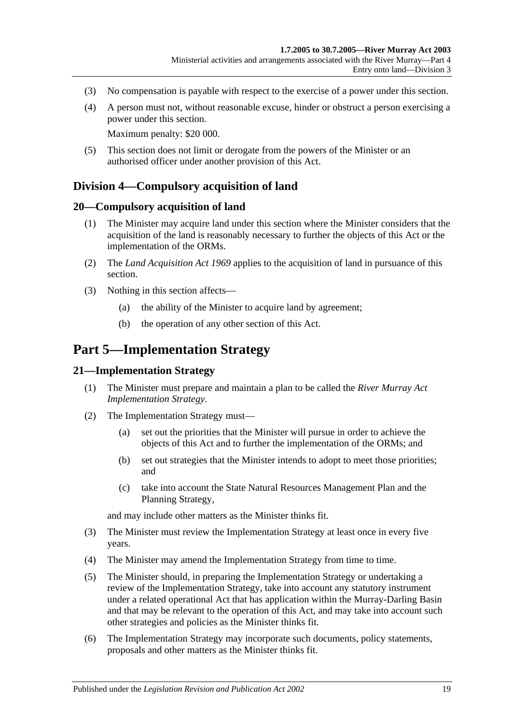- (3) No compensation is payable with respect to the exercise of a power under this section.
- (4) A person must not, without reasonable excuse, hinder or obstruct a person exercising a power under this section.

Maximum penalty: \$20 000.

(5) This section does not limit or derogate from the powers of the Minister or an authorised officer under another provision of this Act.

### <span id="page-18-0"></span>**Division 4—Compulsory acquisition of land**

### <span id="page-18-1"></span>**20—Compulsory acquisition of land**

- (1) The Minister may acquire land under this section where the Minister considers that the acquisition of the land is reasonably necessary to further the objects of this Act or the implementation of the ORMs.
- (2) The *[Land Acquisition Act](http://www.legislation.sa.gov.au/index.aspx?action=legref&type=act&legtitle=Land%20Acquisition%20Act%201969) 1969* applies to the acquisition of land in pursuance of this section.
- (3) Nothing in this section affects—
	- (a) the ability of the Minister to acquire land by agreement;
	- (b) the operation of any other section of this Act.

### <span id="page-18-2"></span>**Part 5—Implementation Strategy**

#### <span id="page-18-3"></span>**21—Implementation Strategy**

- (1) The Minister must prepare and maintain a plan to be called the *River Murray Act Implementation Strategy*.
- (2) The Implementation Strategy must—
	- (a) set out the priorities that the Minister will pursue in order to achieve the objects of this Act and to further the implementation of the ORMs; and
	- (b) set out strategies that the Minister intends to adopt to meet those priorities; and
	- (c) take into account the State Natural Resources Management Plan and the Planning Strategy,

and may include other matters as the Minister thinks fit.

- (3) The Minister must review the Implementation Strategy at least once in every five years.
- (4) The Minister may amend the Implementation Strategy from time to time.
- (5) The Minister should, in preparing the Implementation Strategy or undertaking a review of the Implementation Strategy, take into account any statutory instrument under a related operational Act that has application within the Murray-Darling Basin and that may be relevant to the operation of this Act, and may take into account such other strategies and policies as the Minister thinks fit.
- (6) The Implementation Strategy may incorporate such documents, policy statements, proposals and other matters as the Minister thinks fit.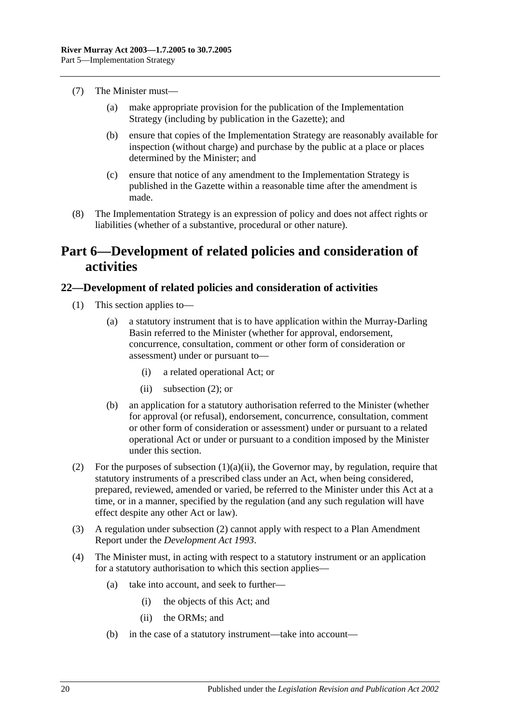- (7) The Minister must—
	- (a) make appropriate provision for the publication of the Implementation Strategy (including by publication in the Gazette); and
	- (b) ensure that copies of the Implementation Strategy are reasonably available for inspection (without charge) and purchase by the public at a place or places determined by the Minister; and
	- (c) ensure that notice of any amendment to the Implementation Strategy is published in the Gazette within a reasonable time after the amendment is made.
- (8) The Implementation Strategy is an expression of policy and does not affect rights or liabilities (whether of a substantive, procedural or other nature).

## <span id="page-19-0"></span>**Part 6—Development of related policies and consideration of activities**

### <span id="page-19-1"></span>**22—Development of related policies and consideration of activities**

- <span id="page-19-3"></span>(1) This section applies to—
	- (a) a statutory instrument that is to have application within the Murray-Darling Basin referred to the Minister (whether for approval, endorsement, concurrence, consultation, comment or other form of consideration or assessment) under or pursuant to—
		- (i) a related operational Act; or
		- (ii) [subsection](#page-19-2)  $(2)$ ; or
	- (b) an application for a statutory authorisation referred to the Minister (whether for approval (or refusal), endorsement, concurrence, consultation, comment or other form of consideration or assessment) under or pursuant to a related operational Act or under or pursuant to a condition imposed by the Minister under this section.
- <span id="page-19-2"></span>(2) For the purposes of [subsection](#page-19-3)  $(1)(a)(ii)$ , the Governor may, by regulation, require that statutory instruments of a prescribed class under an Act, when being considered, prepared, reviewed, amended or varied, be referred to the Minister under this Act at a time, or in a manner, specified by the regulation (and any such regulation will have effect despite any other Act or law).
- (3) A regulation under [subsection](#page-19-2) (2) cannot apply with respect to a Plan Amendment Report under the *[Development Act](http://www.legislation.sa.gov.au/index.aspx?action=legref&type=act&legtitle=Development%20Act%201993) 1993*.
- (4) The Minister must, in acting with respect to a statutory instrument or an application for a statutory authorisation to which this section applies—
	- (a) take into account, and seek to further—
		- (i) the objects of this Act; and
		- (ii) the ORMs; and
	- (b) in the case of a statutory instrument—take into account—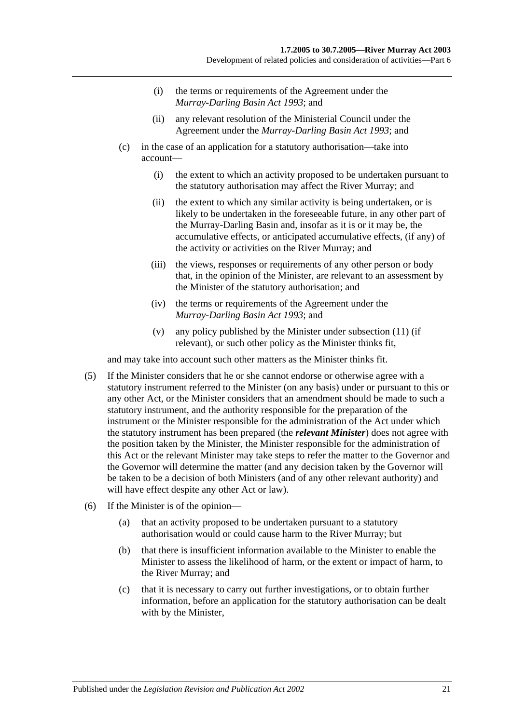- (i) the terms or requirements of the Agreement under the *[Murray-Darling Basin Act](http://www.legislation.sa.gov.au/index.aspx?action=legref&type=act&legtitle=Murray-Darling%20Basin%20Act%201993) 1993*; and
- (ii) any relevant resolution of the Ministerial Council under the Agreement under the *[Murray-Darling Basin Act](http://www.legislation.sa.gov.au/index.aspx?action=legref&type=act&legtitle=Murray-Darling%20Basin%20Act%201993) 1993*; and
- (c) in the case of an application for a statutory authorisation—take into account—
	- (i) the extent to which an activity proposed to be undertaken pursuant to the statutory authorisation may affect the River Murray; and
	- (ii) the extent to which any similar activity is being undertaken, or is likely to be undertaken in the foreseeable future, in any other part of the Murray-Darling Basin and, insofar as it is or it may be, the accumulative effects, or anticipated accumulative effects, (if any) of the activity or activities on the River Murray; and
	- (iii) the views, responses or requirements of any other person or body that, in the opinion of the Minister, are relevant to an assessment by the Minister of the statutory authorisation; and
	- (iv) the terms or requirements of the Agreement under the *[Murray-Darling Basin Act](http://www.legislation.sa.gov.au/index.aspx?action=legref&type=act&legtitle=Murray-Darling%20Basin%20Act%201993) 1993*; and
	- (v) any policy published by the Minister under [subsection](#page-22-0) (11) (if relevant), or such other policy as the Minister thinks fit,

and may take into account such other matters as the Minister thinks fit.

- (5) If the Minister considers that he or she cannot endorse or otherwise agree with a statutory instrument referred to the Minister (on any basis) under or pursuant to this or any other Act, or the Minister considers that an amendment should be made to such a statutory instrument, and the authority responsible for the preparation of the instrument or the Minister responsible for the administration of the Act under which the statutory instrument has been prepared (the *relevant Minister*) does not agree with the position taken by the Minister, the Minister responsible for the administration of this Act or the relevant Minister may take steps to refer the matter to the Governor and the Governor will determine the matter (and any decision taken by the Governor will be taken to be a decision of both Ministers (and of any other relevant authority) and will have effect despite any other Act or law).
- (6) If the Minister is of the opinion—
	- (a) that an activity proposed to be undertaken pursuant to a statutory authorisation would or could cause harm to the River Murray; but
	- (b) that there is insufficient information available to the Minister to enable the Minister to assess the likelihood of harm, or the extent or impact of harm, to the River Murray; and
	- (c) that it is necessary to carry out further investigations, or to obtain further information, before an application for the statutory authorisation can be dealt with by the Minister,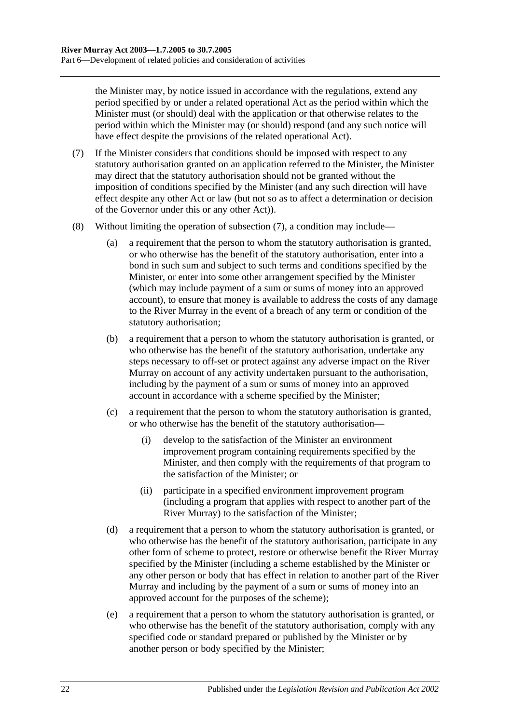the Minister may, by notice issued in accordance with the regulations, extend any period specified by or under a related operational Act as the period within which the Minister must (or should) deal with the application or that otherwise relates to the period within which the Minister may (or should) respond (and any such notice will have effect despite the provisions of the related operational Act).

- <span id="page-21-0"></span>(7) If the Minister considers that conditions should be imposed with respect to any statutory authorisation granted on an application referred to the Minister, the Minister may direct that the statutory authorisation should not be granted without the imposition of conditions specified by the Minister (and any such direction will have effect despite any other Act or law (but not so as to affect a determination or decision of the Governor under this or any other Act)).
- (8) Without limiting the operation of [subsection](#page-21-0) (7), a condition may include—
	- (a) a requirement that the person to whom the statutory authorisation is granted, or who otherwise has the benefit of the statutory authorisation, enter into a bond in such sum and subject to such terms and conditions specified by the Minister, or enter into some other arrangement specified by the Minister (which may include payment of a sum or sums of money into an approved account), to ensure that money is available to address the costs of any damage to the River Murray in the event of a breach of any term or condition of the statutory authorisation;
	- (b) a requirement that a person to whom the statutory authorisation is granted, or who otherwise has the benefit of the statutory authorisation, undertake any steps necessary to off-set or protect against any adverse impact on the River Murray on account of any activity undertaken pursuant to the authorisation, including by the payment of a sum or sums of money into an approved account in accordance with a scheme specified by the Minister;
	- (c) a requirement that the person to whom the statutory authorisation is granted, or who otherwise has the benefit of the statutory authorisation—
		- (i) develop to the satisfaction of the Minister an environment improvement program containing requirements specified by the Minister, and then comply with the requirements of that program to the satisfaction of the Minister; or
		- (ii) participate in a specified environment improvement program (including a program that applies with respect to another part of the River Murray) to the satisfaction of the Minister;
	- (d) a requirement that a person to whom the statutory authorisation is granted, or who otherwise has the benefit of the statutory authorisation, participate in any other form of scheme to protect, restore or otherwise benefit the River Murray specified by the Minister (including a scheme established by the Minister or any other person or body that has effect in relation to another part of the River Murray and including by the payment of a sum or sums of money into an approved account for the purposes of the scheme);
	- (e) a requirement that a person to whom the statutory authorisation is granted, or who otherwise has the benefit of the statutory authorisation, comply with any specified code or standard prepared or published by the Minister or by another person or body specified by the Minister;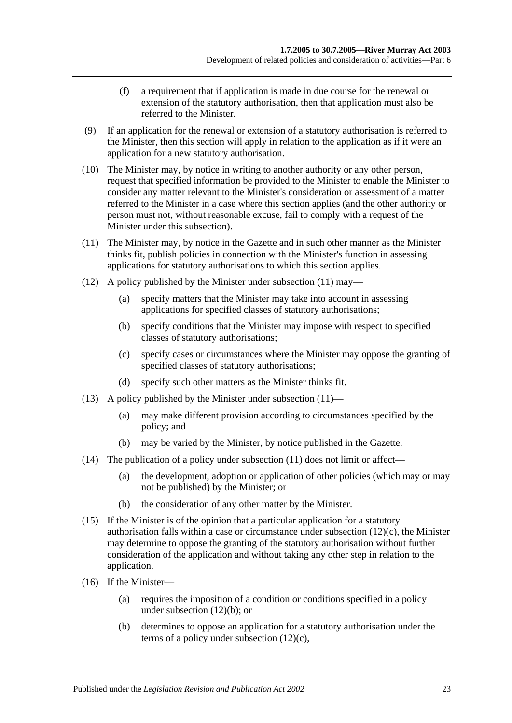- (f) a requirement that if application is made in due course for the renewal or extension of the statutory authorisation, then that application must also be referred to the Minister.
- (9) If an application for the renewal or extension of a statutory authorisation is referred to the Minister, then this section will apply in relation to the application as if it were an application for a new statutory authorisation.
- (10) The Minister may, by notice in writing to another authority or any other person, request that specified information be provided to the Minister to enable the Minister to consider any matter relevant to the Minister's consideration or assessment of a matter referred to the Minister in a case where this section applies (and the other authority or person must not, without reasonable excuse, fail to comply with a request of the Minister under this subsection).
- <span id="page-22-0"></span>(11) The Minister may, by notice in the Gazette and in such other manner as the Minister thinks fit, publish policies in connection with the Minister's function in assessing applications for statutory authorisations to which this section applies.
- <span id="page-22-2"></span>(12) A policy published by the Minister under [subsection](#page-22-0) (11) may—
	- (a) specify matters that the Minister may take into account in assessing applications for specified classes of statutory authorisations;
	- (b) specify conditions that the Minister may impose with respect to specified classes of statutory authorisations;
	- (c) specify cases or circumstances where the Minister may oppose the granting of specified classes of statutory authorisations;
	- (d) specify such other matters as the Minister thinks fit.
- <span id="page-22-1"></span>(13) A policy published by the Minister under [subsection](#page-22-0) (11)—
	- (a) may make different provision according to circumstances specified by the policy; and
	- (b) may be varied by the Minister, by notice published in the Gazette.
- (14) The publication of a policy under [subsection](#page-22-0) (11) does not limit or affect—
	- (a) the development, adoption or application of other policies (which may or may not be published) by the Minister; or
	- (b) the consideration of any other matter by the Minister.
- (15) If the Minister is of the opinion that a particular application for a statutory authorisation falls within a case or circumstance under [subsection](#page-22-1) (12)(c), the Minister may determine to oppose the granting of the statutory authorisation without further consideration of the application and without taking any other step in relation to the application.
- (16) If the Minister—
	- (a) requires the imposition of a condition or conditions specified in a policy under [subsection](#page-22-2) (12)(b); or
	- (b) determines to oppose an application for a statutory authorisation under the terms of a policy under [subsection](#page-22-1) (12)(c),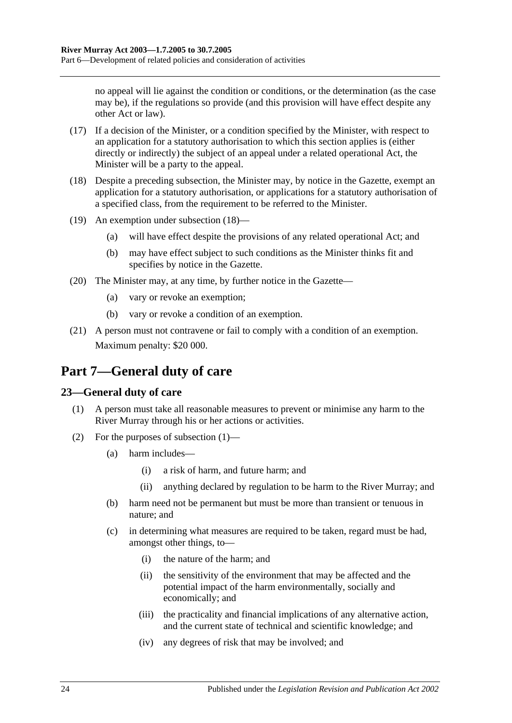no appeal will lie against the condition or conditions, or the determination (as the case may be), if the regulations so provide (and this provision will have effect despite any other Act or law).

- (17) If a decision of the Minister, or a condition specified by the Minister, with respect to an application for a statutory authorisation to which this section applies is (either directly or indirectly) the subject of an appeal under a related operational Act, the Minister will be a party to the appeal.
- <span id="page-23-2"></span>(18) Despite a preceding subsection, the Minister may, by notice in the Gazette, exempt an application for a statutory authorisation, or applications for a statutory authorisation of a specified class, from the requirement to be referred to the Minister.
- (19) An exemption under [subsection](#page-23-2) (18)—
	- (a) will have effect despite the provisions of any related operational Act; and
	- (b) may have effect subject to such conditions as the Minister thinks fit and specifies by notice in the Gazette.
- (20) The Minister may, at any time, by further notice in the Gazette—
	- (a) vary or revoke an exemption;
	- (b) vary or revoke a condition of an exemption.
- (21) A person must not contravene or fail to comply with a condition of an exemption. Maximum penalty: \$20 000.

## <span id="page-23-0"></span>**Part 7—General duty of care**

### <span id="page-23-3"></span><span id="page-23-1"></span>**23—General duty of care**

- (1) A person must take all reasonable measures to prevent or minimise any harm to the River Murray through his or her actions or activities.
- (2) For the purposes of [subsection](#page-23-3) (1)—
	- (a) harm includes—
		- (i) a risk of harm, and future harm; and
		- (ii) anything declared by regulation to be harm to the River Murray; and
	- (b) harm need not be permanent but must be more than transient or tenuous in nature; and
	- (c) in determining what measures are required to be taken, regard must be had, amongst other things, to—
		- (i) the nature of the harm; and
		- (ii) the sensitivity of the environment that may be affected and the potential impact of the harm environmentally, socially and economically; and
		- (iii) the practicality and financial implications of any alternative action, and the current state of technical and scientific knowledge; and
		- (iv) any degrees of risk that may be involved; and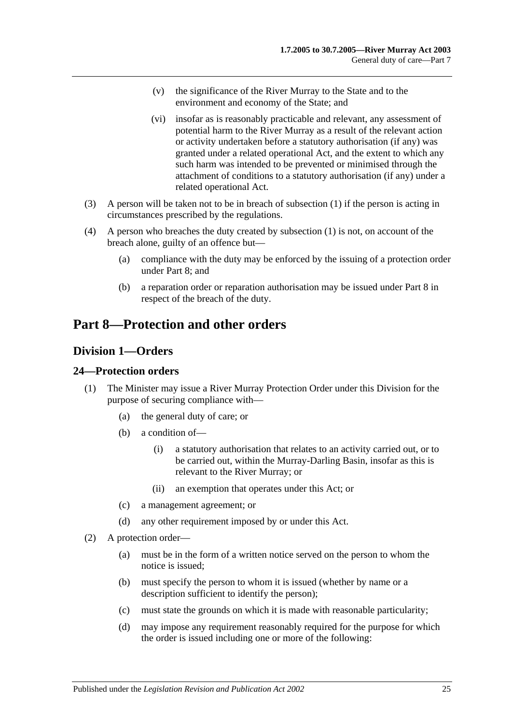- (v) the significance of the River Murray to the State and to the environment and economy of the State; and
- (vi) insofar as is reasonably practicable and relevant, any assessment of potential harm to the River Murray as a result of the relevant action or activity undertaken before a statutory authorisation (if any) was granted under a related operational Act, and the extent to which any such harm was intended to be prevented or minimised through the attachment of conditions to a statutory authorisation (if any) under a related operational Act.
- (3) A person will be taken not to be in breach of [subsection](#page-23-3) (1) if the person is acting in circumstances prescribed by the regulations.
- (4) A person who breaches the duty created by [subsection](#page-23-3) (1) is not, on account of the breach alone, guilty of an offence but—
	- (a) compliance with the duty may be enforced by the issuing of a protection order under [Part 8;](#page-24-0) and
	- (b) a reparation order or reparation authorisation may be issued under [Part 8](#page-24-0) in respect of the breach of the duty.

## <span id="page-24-0"></span>**Part 8—Protection and other orders**

### <span id="page-24-1"></span>**Division 1—Orders**

### <span id="page-24-2"></span>**24—Protection orders**

- (1) The Minister may issue a River Murray Protection Order under this Division for the purpose of securing compliance with—
	- (a) the general duty of care; or
	- (b) a condition of—
		- (i) a statutory authorisation that relates to an activity carried out, or to be carried out, within the Murray-Darling Basin, insofar as this is relevant to the River Murray; or
		- (ii) an exemption that operates under this Act; or
	- (c) a management agreement; or
	- (d) any other requirement imposed by or under this Act.
- <span id="page-24-3"></span>(2) A protection order—
	- (a) must be in the form of a written notice served on the person to whom the notice is issued;
	- (b) must specify the person to whom it is issued (whether by name or a description sufficient to identify the person);
	- (c) must state the grounds on which it is made with reasonable particularity;
	- (d) may impose any requirement reasonably required for the purpose for which the order is issued including one or more of the following: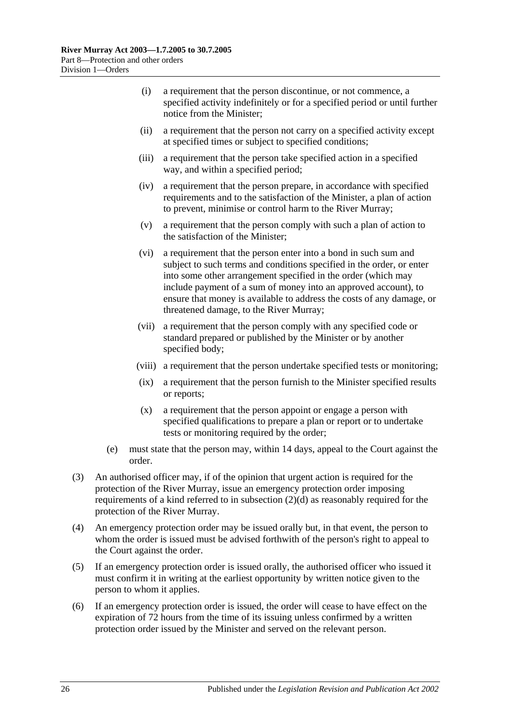- (i) a requirement that the person discontinue, or not commence, a specified activity indefinitely or for a specified period or until further notice from the Minister;
- (ii) a requirement that the person not carry on a specified activity except at specified times or subject to specified conditions;
- (iii) a requirement that the person take specified action in a specified way, and within a specified period;
- (iv) a requirement that the person prepare, in accordance with specified requirements and to the satisfaction of the Minister, a plan of action to prevent, minimise or control harm to the River Murray;
- (v) a requirement that the person comply with such a plan of action to the satisfaction of the Minister;
- (vi) a requirement that the person enter into a bond in such sum and subject to such terms and conditions specified in the order, or enter into some other arrangement specified in the order (which may include payment of a sum of money into an approved account), to ensure that money is available to address the costs of any damage, or threatened damage, to the River Murray;
- (vii) a requirement that the person comply with any specified code or standard prepared or published by the Minister or by another specified body;
- (viii) a requirement that the person undertake specified tests or monitoring;
- (ix) a requirement that the person furnish to the Minister specified results or reports;
- (x) a requirement that the person appoint or engage a person with specified qualifications to prepare a plan or report or to undertake tests or monitoring required by the order;
- (e) must state that the person may, within 14 days, appeal to the Court against the order.
- (3) An authorised officer may, if of the opinion that urgent action is required for the protection of the River Murray, issue an emergency protection order imposing requirements of a kind referred to in [subsection](#page-24-3) (2)(d) as reasonably required for the protection of the River Murray.
- (4) An emergency protection order may be issued orally but, in that event, the person to whom the order is issued must be advised forthwith of the person's right to appeal to the Court against the order.
- (5) If an emergency protection order is issued orally, the authorised officer who issued it must confirm it in writing at the earliest opportunity by written notice given to the person to whom it applies.
- (6) If an emergency protection order is issued, the order will cease to have effect on the expiration of 72 hours from the time of its issuing unless confirmed by a written protection order issued by the Minister and served on the relevant person.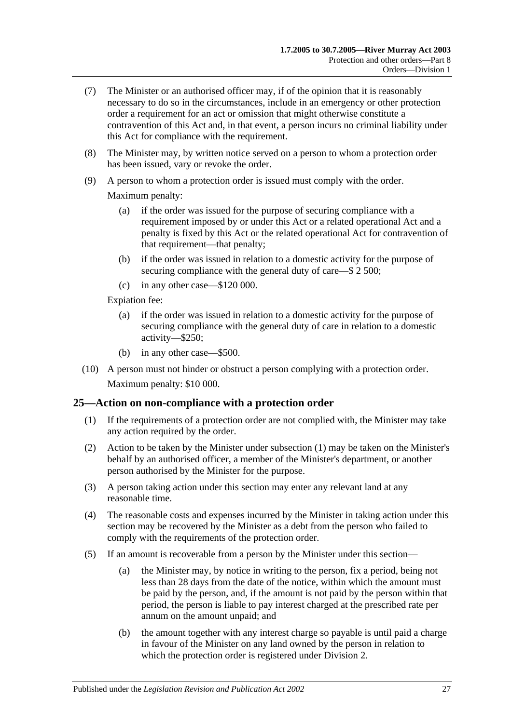- (7) The Minister or an authorised officer may, if of the opinion that it is reasonably necessary to do so in the circumstances, include in an emergency or other protection order a requirement for an act or omission that might otherwise constitute a contravention of this Act and, in that event, a person incurs no criminal liability under this Act for compliance with the requirement.
- (8) The Minister may, by written notice served on a person to whom a protection order has been issued, vary or revoke the order.
- (9) A person to whom a protection order is issued must comply with the order.

Maximum penalty:

- (a) if the order was issued for the purpose of securing compliance with a requirement imposed by or under this Act or a related operational Act and a penalty is fixed by this Act or the related operational Act for contravention of that requirement—that penalty;
- (b) if the order was issued in relation to a domestic activity for the purpose of securing compliance with the general duty of care—\$ 2 500;
- (c) in any other case—\$120 000.

Expiation fee:

- (a) if the order was issued in relation to a domestic activity for the purpose of securing compliance with the general duty of care in relation to a domestic activity—\$250;
- (b) in any other case—\$500.
- (10) A person must not hinder or obstruct a person complying with a protection order. Maximum penalty: \$10 000.

### <span id="page-26-1"></span><span id="page-26-0"></span>**25—Action on non-compliance with a protection order**

- (1) If the requirements of a protection order are not complied with, the Minister may take any action required by the order.
- (2) Action to be taken by the Minister under [subsection](#page-26-1) (1) may be taken on the Minister's behalf by an authorised officer, a member of the Minister's department, or another person authorised by the Minister for the purpose.
- (3) A person taking action under this section may enter any relevant land at any reasonable time.
- (4) The reasonable costs and expenses incurred by the Minister in taking action under this section may be recovered by the Minister as a debt from the person who failed to comply with the requirements of the protection order.
- (5) If an amount is recoverable from a person by the Minister under this section—
	- (a) the Minister may, by notice in writing to the person, fix a period, being not less than 28 days from the date of the notice, within which the amount must be paid by the person, and, if the amount is not paid by the person within that period, the person is liable to pay interest charged at the prescribed rate per annum on the amount unpaid; and
	- (b) the amount together with any interest charge so payable is until paid a charge in favour of the Minister on any land owned by the person in relation to which the protection order is registered under [Division 2.](#page-31-0)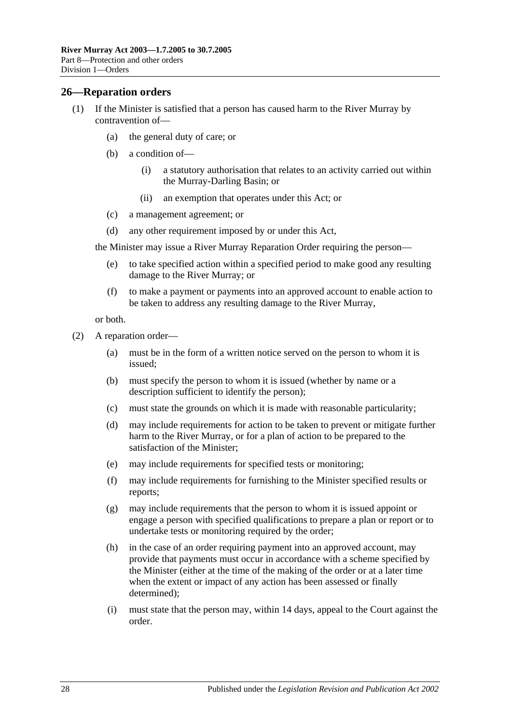### <span id="page-27-0"></span>**26—Reparation orders**

- (1) If the Minister is satisfied that a person has caused harm to the River Murray by contravention of—
	- (a) the general duty of care; or
	- (b) a condition of—
		- (i) a statutory authorisation that relates to an activity carried out within the Murray-Darling Basin; or
		- (ii) an exemption that operates under this Act; or
	- (c) a management agreement; or
	- (d) any other requirement imposed by or under this Act,

the Minister may issue a River Murray Reparation Order requiring the person—

- (e) to take specified action within a specified period to make good any resulting damage to the River Murray; or
- (f) to make a payment or payments into an approved account to enable action to be taken to address any resulting damage to the River Murray,

or both.

- <span id="page-27-1"></span>(2) A reparation order—
	- (a) must be in the form of a written notice served on the person to whom it is issued;
	- (b) must specify the person to whom it is issued (whether by name or a description sufficient to identify the person);
	- (c) must state the grounds on which it is made with reasonable particularity;
	- (d) may include requirements for action to be taken to prevent or mitigate further harm to the River Murray, or for a plan of action to be prepared to the satisfaction of the Minister;
	- (e) may include requirements for specified tests or monitoring;
	- (f) may include requirements for furnishing to the Minister specified results or reports;
	- (g) may include requirements that the person to whom it is issued appoint or engage a person with specified qualifications to prepare a plan or report or to undertake tests or monitoring required by the order;
	- (h) in the case of an order requiring payment into an approved account, may provide that payments must occur in accordance with a scheme specified by the Minister (either at the time of the making of the order or at a later time when the extent or impact of any action has been assessed or finally determined);
	- (i) must state that the person may, within 14 days, appeal to the Court against the order.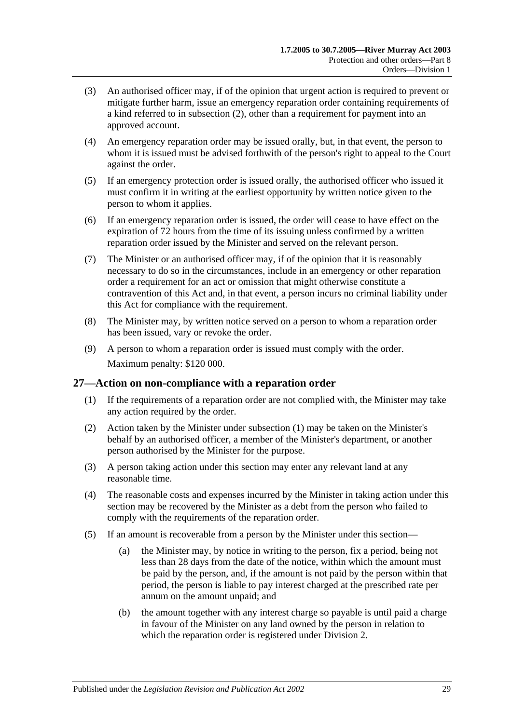- (3) An authorised officer may, if of the opinion that urgent action is required to prevent or mitigate further harm, issue an emergency reparation order containing requirements of a kind referred to in [subsection](#page-27-1) (2), other than a requirement for payment into an approved account.
- (4) An emergency reparation order may be issued orally, but, in that event, the person to whom it is issued must be advised forthwith of the person's right to appeal to the Court against the order.
- (5) If an emergency protection order is issued orally, the authorised officer who issued it must confirm it in writing at the earliest opportunity by written notice given to the person to whom it applies.
- (6) If an emergency reparation order is issued, the order will cease to have effect on the expiration of 72 hours from the time of its issuing unless confirmed by a written reparation order issued by the Minister and served on the relevant person.
- (7) The Minister or an authorised officer may, if of the opinion that it is reasonably necessary to do so in the circumstances, include in an emergency or other reparation order a requirement for an act or omission that might otherwise constitute a contravention of this Act and, in that event, a person incurs no criminal liability under this Act for compliance with the requirement.
- (8) The Minister may, by written notice served on a person to whom a reparation order has been issued, vary or revoke the order.
- (9) A person to whom a reparation order is issued must comply with the order. Maximum penalty: \$120 000.

### <span id="page-28-1"></span><span id="page-28-0"></span>**27—Action on non-compliance with a reparation order**

- (1) If the requirements of a reparation order are not complied with, the Minister may take any action required by the order.
- (2) Action taken by the Minister under [subsection](#page-28-1) (1) may be taken on the Minister's behalf by an authorised officer, a member of the Minister's department, or another person authorised by the Minister for the purpose.
- (3) A person taking action under this section may enter any relevant land at any reasonable time.
- (4) The reasonable costs and expenses incurred by the Minister in taking action under this section may be recovered by the Minister as a debt from the person who failed to comply with the requirements of the reparation order.
- (5) If an amount is recoverable from a person by the Minister under this section—
	- (a) the Minister may, by notice in writing to the person, fix a period, being not less than 28 days from the date of the notice, within which the amount must be paid by the person, and, if the amount is not paid by the person within that period, the person is liable to pay interest charged at the prescribed rate per annum on the amount unpaid; and
	- (b) the amount together with any interest charge so payable is until paid a charge in favour of the Minister on any land owned by the person in relation to which the reparation order is registered under [Division 2.](#page-31-0)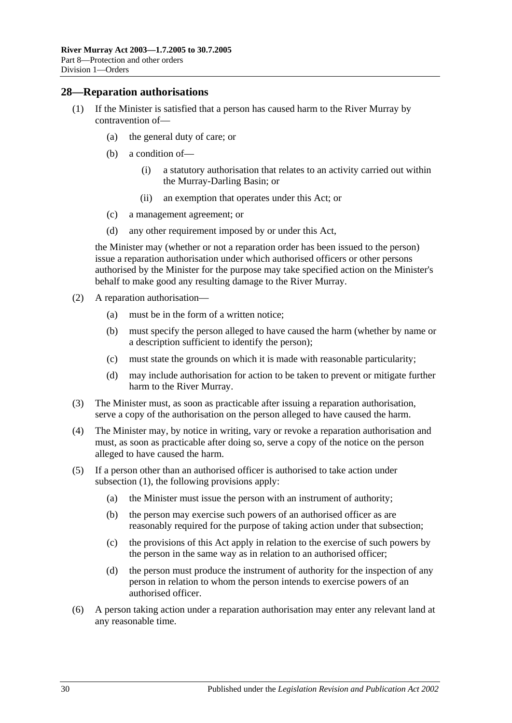### <span id="page-29-1"></span><span id="page-29-0"></span>**28—Reparation authorisations**

- (1) If the Minister is satisfied that a person has caused harm to the River Murray by contravention of—
	- (a) the general duty of care; or
	- (b) a condition of—
		- (i) a statutory authorisation that relates to an activity carried out within the Murray-Darling Basin; or
		- (ii) an exemption that operates under this Act; or
	- (c) a management agreement; or
	- (d) any other requirement imposed by or under this Act,

the Minister may (whether or not a reparation order has been issued to the person) issue a reparation authorisation under which authorised officers or other persons authorised by the Minister for the purpose may take specified action on the Minister's behalf to make good any resulting damage to the River Murray.

- (2) A reparation authorisation—
	- (a) must be in the form of a written notice;
	- (b) must specify the person alleged to have caused the harm (whether by name or a description sufficient to identify the person);
	- (c) must state the grounds on which it is made with reasonable particularity;
	- (d) may include authorisation for action to be taken to prevent or mitigate further harm to the River Murray.
- (3) The Minister must, as soon as practicable after issuing a reparation authorisation, serve a copy of the authorisation on the person alleged to have caused the harm.
- (4) The Minister may, by notice in writing, vary or revoke a reparation authorisation and must, as soon as practicable after doing so, serve a copy of the notice on the person alleged to have caused the harm.
- (5) If a person other than an authorised officer is authorised to take action under [subsection](#page-29-1) (1), the following provisions apply:
	- (a) the Minister must issue the person with an instrument of authority;
	- (b) the person may exercise such powers of an authorised officer as are reasonably required for the purpose of taking action under that subsection;
	- (c) the provisions of this Act apply in relation to the exercise of such powers by the person in the same way as in relation to an authorised officer;
	- (d) the person must produce the instrument of authority for the inspection of any person in relation to whom the person intends to exercise powers of an authorised officer.
- (6) A person taking action under a reparation authorisation may enter any relevant land at any reasonable time.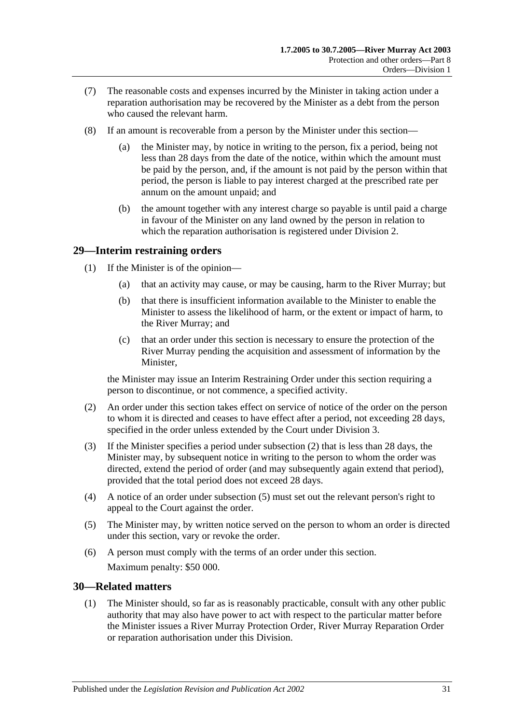- (7) The reasonable costs and expenses incurred by the Minister in taking action under a reparation authorisation may be recovered by the Minister as a debt from the person who caused the relevant harm.
- (8) If an amount is recoverable from a person by the Minister under this section—
	- (a) the Minister may, by notice in writing to the person, fix a period, being not less than 28 days from the date of the notice, within which the amount must be paid by the person, and, if the amount is not paid by the person within that period, the person is liable to pay interest charged at the prescribed rate per annum on the amount unpaid; and
	- (b) the amount together with any interest charge so payable is until paid a charge in favour of the Minister on any land owned by the person in relation to which the reparation authorisation is registered under [Division 2.](#page-31-0)

### <span id="page-30-0"></span>**29—Interim restraining orders**

- (1) If the Minister is of the opinion—
	- (a) that an activity may cause, or may be causing, harm to the River Murray; but
	- (b) that there is insufficient information available to the Minister to enable the Minister to assess the likelihood of harm, or the extent or impact of harm, to the River Murray; and
	- (c) that an order under this section is necessary to ensure the protection of the River Murray pending the acquisition and assessment of information by the Minister,

the Minister may issue an Interim Restraining Order under this section requiring a person to discontinue, or not commence, a specified activity.

- <span id="page-30-2"></span>(2) An order under this section takes effect on service of notice of the order on the person to whom it is directed and ceases to have effect after a period, not exceeding 28 days, specified in the order unless extended by the Court under [Division 3.](#page-32-1)
- (3) If the Minister specifies a period under [subsection](#page-30-2) (2) that is less than 28 days, the Minister may, by subsequent notice in writing to the person to whom the order was directed, extend the period of order (and may subsequently again extend that period), provided that the total period does not exceed 28 days.
- (4) A notice of an order under [subsection](#page-30-3) (5) must set out the relevant person's right to appeal to the Court against the order.
- <span id="page-30-3"></span>(5) The Minister may, by written notice served on the person to whom an order is directed under this section, vary or revoke the order.
- (6) A person must comply with the terms of an order under this section. Maximum penalty: \$50 000.

### <span id="page-30-4"></span><span id="page-30-1"></span>**30—Related matters**

(1) The Minister should, so far as is reasonably practicable, consult with any other public authority that may also have power to act with respect to the particular matter before the Minister issues a River Murray Protection Order, River Murray Reparation Order or reparation authorisation under this Division.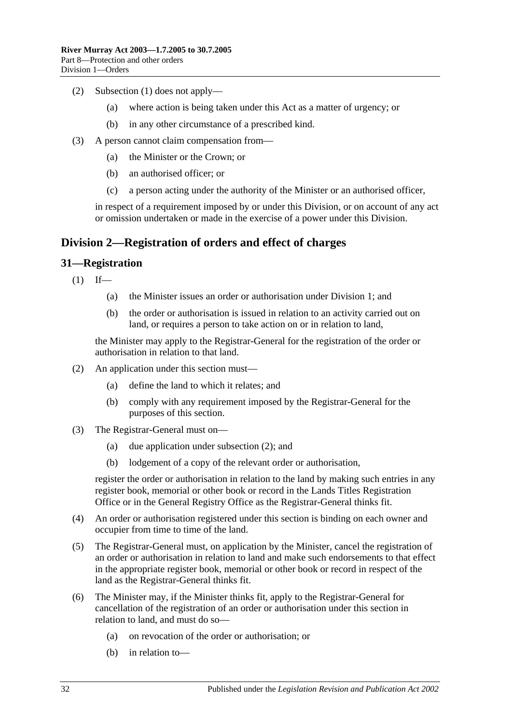- (2) [Subsection](#page-30-4) (1) does not apply—
	- (a) where action is being taken under this Act as a matter of urgency; or
	- (b) in any other circumstance of a prescribed kind.
- (3) A person cannot claim compensation from—
	- (a) the Minister or the Crown; or
	- (b) an authorised officer; or
	- (c) a person acting under the authority of the Minister or an authorised officer,

in respect of a requirement imposed by or under this Division, or on account of any act or omission undertaken or made in the exercise of a power under this Division.

### <span id="page-31-0"></span>**Division 2—Registration of orders and effect of charges**

### <span id="page-31-1"></span>**31—Registration**

 $(1)$  If—

- (a) the Minister issues an order or authorisation under [Division 1;](#page-24-1) and
- (b) the order or authorisation is issued in relation to an activity carried out on land, or requires a person to take action on or in relation to land,

the Minister may apply to the Registrar-General for the registration of the order or authorisation in relation to that land.

- <span id="page-31-2"></span>(2) An application under this section must—
	- (a) define the land to which it relates; and
	- (b) comply with any requirement imposed by the Registrar-General for the purposes of this section.
- (3) The Registrar-General must on—
	- (a) due application under [subsection](#page-31-2) (2); and
	- (b) lodgement of a copy of the relevant order or authorisation,

register the order or authorisation in relation to the land by making such entries in any register book, memorial or other book or record in the Lands Titles Registration Office or in the General Registry Office as the Registrar-General thinks fit.

- (4) An order or authorisation registered under this section is binding on each owner and occupier from time to time of the land.
- (5) The Registrar-General must, on application by the Minister, cancel the registration of an order or authorisation in relation to land and make such endorsements to that effect in the appropriate register book, memorial or other book or record in respect of the land as the Registrar-General thinks fit.
- (6) The Minister may, if the Minister thinks fit, apply to the Registrar-General for cancellation of the registration of an order or authorisation under this section in relation to land, and must do so—
	- (a) on revocation of the order or authorisation; or
	- (b) in relation to—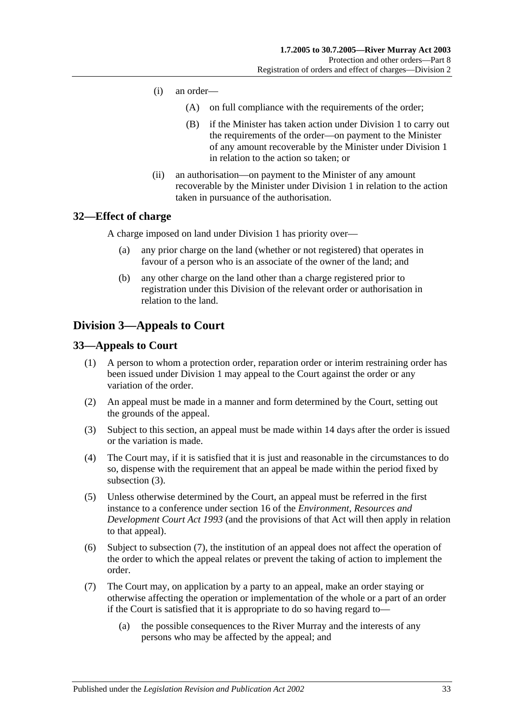- (i) an order—
	- (A) on full compliance with the requirements of the order;
	- (B) if the Minister has taken action under [Division 1](#page-24-1) to carry out the requirements of the order—on payment to the Minister of any amount recoverable by the Minister under [Division 1](#page-24-1) in relation to the action so taken; or
- (ii) an authorisation—on payment to the Minister of any amount recoverable by the Minister under [Division 1](#page-24-1) in relation to the action taken in pursuance of the authorisation.

### <span id="page-32-0"></span>**32—Effect of charge**

A charge imposed on land under [Division 1](#page-24-1) has priority over—

- (a) any prior charge on the land (whether or not registered) that operates in favour of a person who is an associate of the owner of the land; and
- (b) any other charge on the land other than a charge registered prior to registration under this Division of the relevant order or authorisation in relation to the land.

### <span id="page-32-1"></span>**Division 3—Appeals to Court**

### <span id="page-32-2"></span>**33—Appeals to Court**

- (1) A person to whom a protection order, reparation order or interim restraining order has been issued under [Division 1](#page-24-1) may appeal to the Court against the order or any variation of the order.
- (2) An appeal must be made in a manner and form determined by the Court, setting out the grounds of the appeal.
- <span id="page-32-3"></span>(3) Subject to this section, an appeal must be made within 14 days after the order is issued or the variation is made.
- (4) The Court may, if it is satisfied that it is just and reasonable in the circumstances to do so, dispense with the requirement that an appeal be made within the period fixed by [subsection](#page-32-3) (3).
- (5) Unless otherwise determined by the Court, an appeal must be referred in the first instance to a conference under section 16 of the *[Environment, Resources and](http://www.legislation.sa.gov.au/index.aspx?action=legref&type=act&legtitle=Environment%20Resources%20and%20Development%20Court%20Act%201993)  [Development Court Act](http://www.legislation.sa.gov.au/index.aspx?action=legref&type=act&legtitle=Environment%20Resources%20and%20Development%20Court%20Act%201993) 1993* (and the provisions of that Act will then apply in relation to that appeal).
- (6) Subject to [subsection](#page-32-4) (7), the institution of an appeal does not affect the operation of the order to which the appeal relates or prevent the taking of action to implement the order.
- <span id="page-32-4"></span>(7) The Court may, on application by a party to an appeal, make an order staying or otherwise affecting the operation or implementation of the whole or a part of an order if the Court is satisfied that it is appropriate to do so having regard to—
	- (a) the possible consequences to the River Murray and the interests of any persons who may be affected by the appeal; and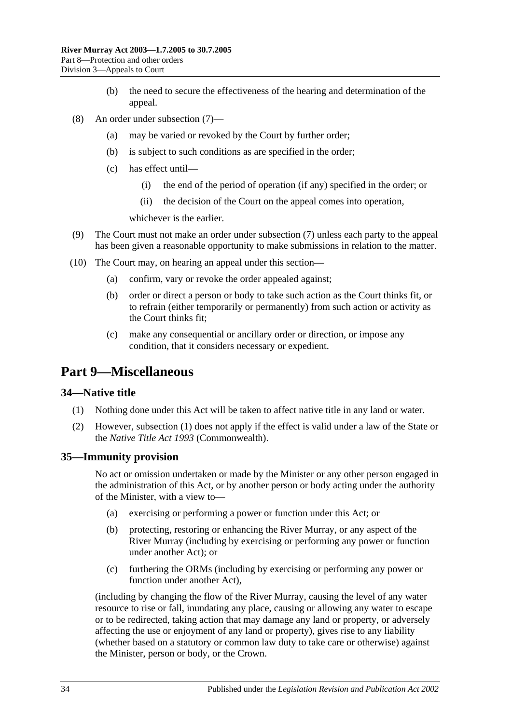- (b) the need to secure the effectiveness of the hearing and determination of the appeal.
- (8) An order under [subsection](#page-32-4) (7)—
	- (a) may be varied or revoked by the Court by further order;
	- (b) is subject to such conditions as are specified in the order;
	- (c) has effect until—
		- (i) the end of the period of operation (if any) specified in the order; or
		- (ii) the decision of the Court on the appeal comes into operation,

whichever is the earlier.

- (9) The Court must not make an order under [subsection](#page-32-4) (7) unless each party to the appeal has been given a reasonable opportunity to make submissions in relation to the matter.
- (10) The Court may, on hearing an appeal under this section—
	- (a) confirm, vary or revoke the order appealed against;
	- (b) order or direct a person or body to take such action as the Court thinks fit, or to refrain (either temporarily or permanently) from such action or activity as the Court thinks fit;
	- (c) make any consequential or ancillary order or direction, or impose any condition, that it considers necessary or expedient.

### <span id="page-33-0"></span>**Part 9—Miscellaneous**

#### <span id="page-33-3"></span><span id="page-33-1"></span>**34—Native title**

- (1) Nothing done under this Act will be taken to affect native title in any land or water.
- (2) However, [subsection](#page-33-3) (1) does not apply if the effect is valid under a law of the State or the *Native Title Act 1993* (Commonwealth).

#### <span id="page-33-2"></span>**35—Immunity provision**

No act or omission undertaken or made by the Minister or any other person engaged in the administration of this Act, or by another person or body acting under the authority of the Minister, with a view to—

- (a) exercising or performing a power or function under this Act; or
- (b) protecting, restoring or enhancing the River Murray, or any aspect of the River Murray (including by exercising or performing any power or function under another Act); or
- (c) furthering the ORMs (including by exercising or performing any power or function under another Act),

(including by changing the flow of the River Murray, causing the level of any water resource to rise or fall, inundating any place, causing or allowing any water to escape or to be redirected, taking action that may damage any land or property, or adversely affecting the use or enjoyment of any land or property), gives rise to any liability (whether based on a statutory or common law duty to take care or otherwise) against the Minister, person or body, or the Crown.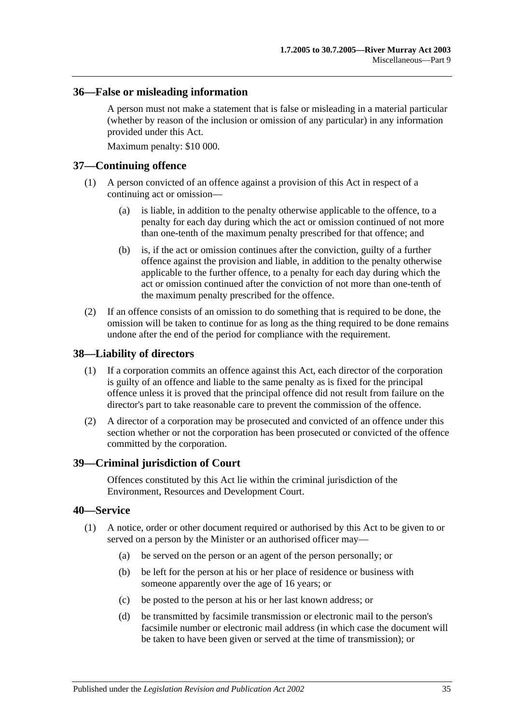### <span id="page-34-0"></span>**36—False or misleading information**

A person must not make a statement that is false or misleading in a material particular (whether by reason of the inclusion or omission of any particular) in any information provided under this Act.

Maximum penalty: \$10 000.

### <span id="page-34-1"></span>**37—Continuing offence**

- (1) A person convicted of an offence against a provision of this Act in respect of a continuing act or omission—
	- (a) is liable, in addition to the penalty otherwise applicable to the offence, to a penalty for each day during which the act or omission continued of not more than one-tenth of the maximum penalty prescribed for that offence; and
	- (b) is, if the act or omission continues after the conviction, guilty of a further offence against the provision and liable, in addition to the penalty otherwise applicable to the further offence, to a penalty for each day during which the act or omission continued after the conviction of not more than one-tenth of the maximum penalty prescribed for the offence.
- (2) If an offence consists of an omission to do something that is required to be done, the omission will be taken to continue for as long as the thing required to be done remains undone after the end of the period for compliance with the requirement.

### <span id="page-34-2"></span>**38—Liability of directors**

- (1) If a corporation commits an offence against this Act, each director of the corporation is guilty of an offence and liable to the same penalty as is fixed for the principal offence unless it is proved that the principal offence did not result from failure on the director's part to take reasonable care to prevent the commission of the offence.
- (2) A director of a corporation may be prosecuted and convicted of an offence under this section whether or not the corporation has been prosecuted or convicted of the offence committed by the corporation.

#### <span id="page-34-3"></span>**39—Criminal jurisdiction of Court**

Offences constituted by this Act lie within the criminal jurisdiction of the Environment, Resources and Development Court.

### <span id="page-34-5"></span><span id="page-34-4"></span>**40—Service**

- (1) A notice, order or other document required or authorised by this Act to be given to or served on a person by the Minister or an authorised officer may—
	- (a) be served on the person or an agent of the person personally; or
	- (b) be left for the person at his or her place of residence or business with someone apparently over the age of 16 years; or
	- (c) be posted to the person at his or her last known address; or
	- (d) be transmitted by facsimile transmission or electronic mail to the person's facsimile number or electronic mail address (in which case the document will be taken to have been given or served at the time of transmission); or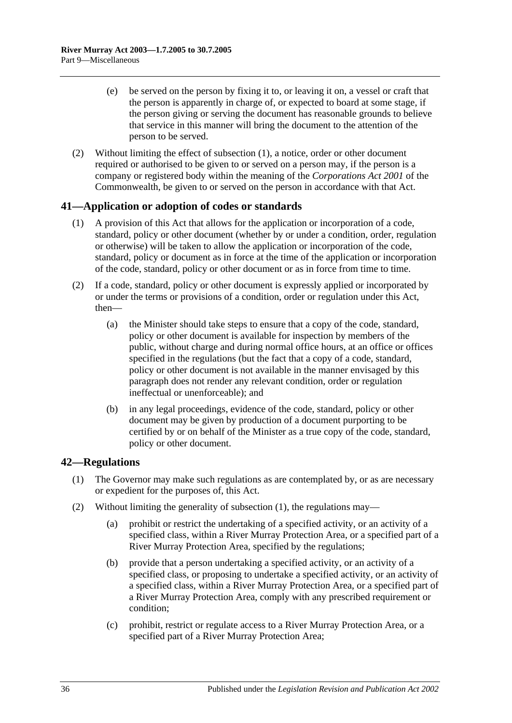- (e) be served on the person by fixing it to, or leaving it on, a vessel or craft that the person is apparently in charge of, or expected to board at some stage, if the person giving or serving the document has reasonable grounds to believe that service in this manner will bring the document to the attention of the person to be served.
- (2) Without limiting the effect of [subsection](#page-34-5) (1), a notice, order or other document required or authorised to be given to or served on a person may, if the person is a company or registered body within the meaning of the *Corporations Act 2001* of the Commonwealth, be given to or served on the person in accordance with that Act.

### <span id="page-35-0"></span>**41—Application or adoption of codes or standards**

- (1) A provision of this Act that allows for the application or incorporation of a code, standard, policy or other document (whether by or under a condition, order, regulation or otherwise) will be taken to allow the application or incorporation of the code, standard, policy or document as in force at the time of the application or incorporation of the code, standard, policy or other document or as in force from time to time.
- (2) If a code, standard, policy or other document is expressly applied or incorporated by or under the terms or provisions of a condition, order or regulation under this Act, then—
	- (a) the Minister should take steps to ensure that a copy of the code, standard, policy or other document is available for inspection by members of the public, without charge and during normal office hours, at an office or offices specified in the regulations (but the fact that a copy of a code, standard, policy or other document is not available in the manner envisaged by this paragraph does not render any relevant condition, order or regulation ineffectual or unenforceable); and
	- (b) in any legal proceedings, evidence of the code, standard, policy or other document may be given by production of a document purporting to be certified by or on behalf of the Minister as a true copy of the code, standard, policy or other document.

### <span id="page-35-2"></span><span id="page-35-1"></span>**42—Regulations**

- (1) The Governor may make such regulations as are contemplated by, or as are necessary or expedient for the purposes of, this Act.
- <span id="page-35-6"></span><span id="page-35-5"></span><span id="page-35-4"></span><span id="page-35-3"></span>(2) Without limiting the generality of [subsection](#page-35-2) (1), the regulations may—
	- (a) prohibit or restrict the undertaking of a specified activity, or an activity of a specified class, within a River Murray Protection Area, or a specified part of a River Murray Protection Area, specified by the regulations;
	- (b) provide that a person undertaking a specified activity, or an activity of a specified class, or proposing to undertake a specified activity, or an activity of a specified class, within a River Murray Protection Area, or a specified part of a River Murray Protection Area, comply with any prescribed requirement or condition;
	- (c) prohibit, restrict or regulate access to a River Murray Protection Area, or a specified part of a River Murray Protection Area;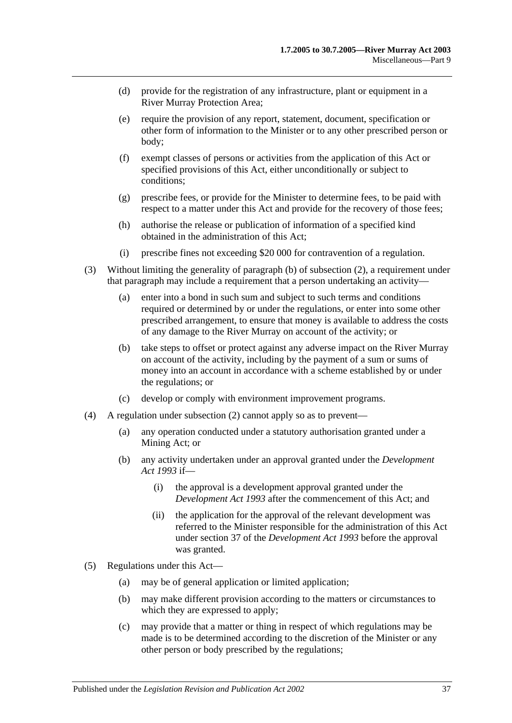- (d) provide for the registration of any infrastructure, plant or equipment in a River Murray Protection Area;
- (e) require the provision of any report, statement, document, specification or other form of information to the Minister or to any other prescribed person or body;
- (f) exempt classes of persons or activities from the application of this Act or specified provisions of this Act, either unconditionally or subject to conditions;
- (g) prescribe fees, or provide for the Minister to determine fees, to be paid with respect to a matter under this Act and provide for the recovery of those fees;
- (h) authorise the release or publication of information of a specified kind obtained in the administration of this Act;
- (i) prescribe fines not exceeding \$20 000 for contravention of a regulation.
- (3) Without limiting the generality of [paragraph](#page-35-3) (b) of [subsection](#page-35-4) (2), a requirement under that paragraph may include a requirement that a person undertaking an activity—
	- (a) enter into a bond in such sum and subject to such terms and conditions required or determined by or under the regulations, or enter into some other prescribed arrangement, to ensure that money is available to address the costs of any damage to the River Murray on account of the activity; or
	- (b) take steps to offset or protect against any adverse impact on the River Murray on account of the activity, including by the payment of a sum or sums of money into an account in accordance with a scheme established by or under the regulations; or
	- (c) develop or comply with environment improvement programs.
- (4) A regulation under [subsection](#page-35-4) (2) cannot apply so as to prevent—
	- (a) any operation conducted under a statutory authorisation granted under a Mining Act; or
	- (b) any activity undertaken under an approval granted under the *[Development](http://www.legislation.sa.gov.au/index.aspx?action=legref&type=act&legtitle=Development%20Act%201993)  Act [1993](http://www.legislation.sa.gov.au/index.aspx?action=legref&type=act&legtitle=Development%20Act%201993)* if—
		- (i) the approval is a development approval granted under the *[Development Act](http://www.legislation.sa.gov.au/index.aspx?action=legref&type=act&legtitle=Development%20Act%201993) 1993* after the commencement of this Act; and
		- (ii) the application for the approval of the relevant development was referred to the Minister responsible for the administration of this Act under section 37 of the *[Development Act](http://www.legislation.sa.gov.au/index.aspx?action=legref&type=act&legtitle=Development%20Act%201993) 1993* before the approval was granted.
- (5) Regulations under this Act—
	- (a) may be of general application or limited application;
	- (b) may make different provision according to the matters or circumstances to which they are expressed to apply;
	- (c) may provide that a matter or thing in respect of which regulations may be made is to be determined according to the discretion of the Minister or any other person or body prescribed by the regulations;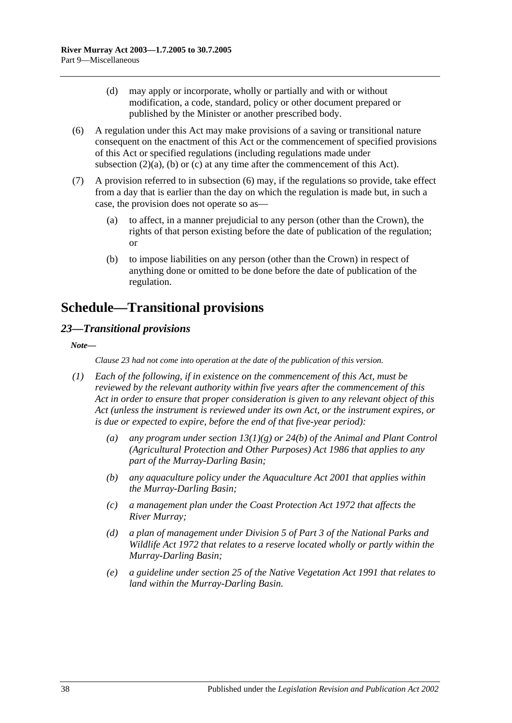- (d) may apply or incorporate, wholly or partially and with or without modification, a code, standard, policy or other document prepared or published by the Minister or another prescribed body.
- <span id="page-37-2"></span>(6) A regulation under this Act may make provisions of a saving or transitional nature consequent on the enactment of this Act or the commencement of specified provisions of this Act or specified regulations (including regulations made under [subsection](#page-35-5)  $(2)(a)$ ,  $(b)$  or  $(c)$  at any time after the commencement of this Act).
- (7) A provision referred to in [subsection](#page-37-2) (6) may, if the regulations so provide, take effect from a day that is earlier than the day on which the regulation is made but, in such a case, the provision does not operate so as—
	- (a) to affect, in a manner prejudicial to any person (other than the Crown), the rights of that person existing before the date of publication of the regulation; or
	- (b) to impose liabilities on any person (other than the Crown) in respect of anything done or omitted to be done before the date of publication of the regulation.

## <span id="page-37-0"></span>**Schedule—Transitional provisions**

### <span id="page-37-1"></span>*23—Transitional provisions*

*Note—*

*Clause 23 had not come into operation at the date of the publication of this version.*

- *(1) Each of the following, if in existence on the commencement of this Act, must be reviewed by the relevant authority within five years after the commencement of this Act in order to ensure that proper consideration is given to any relevant object of this Act (unless the instrument is reviewed under its own Act, or the instrument expires, or is due or expected to expire, before the end of that five-year period):*
	- *(a) any program under section 13(1)(g) or 24(b) of the [Animal and Plant Control](http://www.legislation.sa.gov.au/index.aspx?action=legref&type=act&legtitle=Animal%20and%20Plant%20Control%20(Agricultural%20Protection%20and%20Other%20Purposes)%20Act%201986)  [\(Agricultural Protection and Other Purposes\) Act](http://www.legislation.sa.gov.au/index.aspx?action=legref&type=act&legtitle=Animal%20and%20Plant%20Control%20(Agricultural%20Protection%20and%20Other%20Purposes)%20Act%201986) 1986 that applies to any part of the Murray-Darling Basin;*
	- *(b) any aquaculture policy under the [Aquaculture Act](http://www.legislation.sa.gov.au/index.aspx?action=legref&type=act&legtitle=Aquaculture%20Act%202001) 2001 that applies within the Murray-Darling Basin;*
	- *(c) a management plan under the [Coast Protection Act](http://www.legislation.sa.gov.au/index.aspx?action=legref&type=act&legtitle=Coast%20Protection%20Act%201972) 1972 that affects the River Murray;*
	- *(d) a plan of management under Division 5 of Part 3 of the [National Parks and](http://www.legislation.sa.gov.au/index.aspx?action=legref&type=act&legtitle=National%20Parks%20and%20Wildlife%20Act%201972)  [Wildlife Act](http://www.legislation.sa.gov.au/index.aspx?action=legref&type=act&legtitle=National%20Parks%20and%20Wildlife%20Act%201972) 1972 that relates to a reserve located wholly or partly within the Murray-Darling Basin;*
	- *(e) a guideline under section 25 of the [Native Vegetation Act](http://www.legislation.sa.gov.au/index.aspx?action=legref&type=act&legtitle=Native%20Vegetation%20Act%201991) 1991 that relates to land within the Murray-Darling Basin.*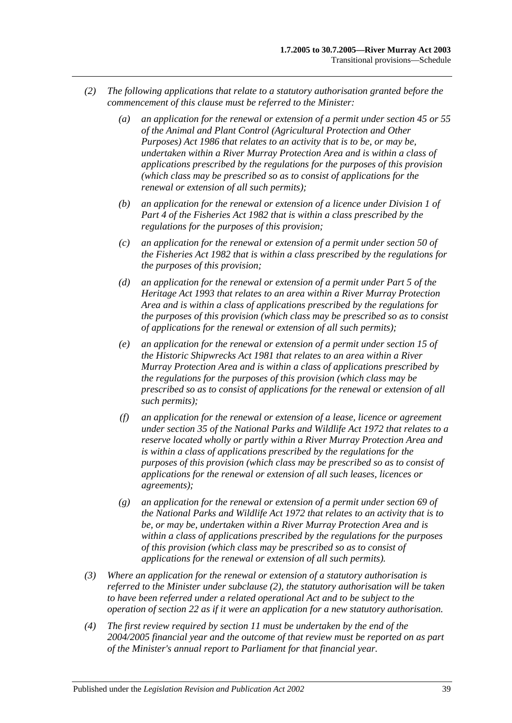- <span id="page-38-0"></span>*(2) The following applications that relate to a statutory authorisation granted before the commencement of this clause must be referred to the Minister:*
	- *(a) an application for the renewal or extension of a permit under section 45 or 55 of the [Animal and Plant Control \(Agricultural](http://www.legislation.sa.gov.au/index.aspx?action=legref&type=act&legtitle=Animal%20and%20Plant%20Control%20(Agricultural%20Protection%20and%20Other%20Purposes)%20Act%201986) Protection and Other [Purposes\) Act](http://www.legislation.sa.gov.au/index.aspx?action=legref&type=act&legtitle=Animal%20and%20Plant%20Control%20(Agricultural%20Protection%20and%20Other%20Purposes)%20Act%201986) 1986 that relates to an activity that is to be, or may be, undertaken within a River Murray Protection Area and is within a class of applications prescribed by the regulations for the purposes of this provision (which class may be prescribed so as to consist of applications for the renewal or extension of all such permits);*
	- *(b) an application for the renewal or extension of a licence under Division 1 of Part 4 of the [Fisheries Act](http://www.legislation.sa.gov.au/index.aspx?action=legref&type=act&legtitle=Fisheries%20Act%201982) 1982 that is within a class prescribed by the regulations for the purposes of this provision;*
	- *(c) an application for the renewal or extension of a permit under section 50 of the [Fisheries Act](http://www.legislation.sa.gov.au/index.aspx?action=legref&type=act&legtitle=Fisheries%20Act%201982) 1982 that is within a class prescribed by the regulations for the purposes of this provision;*
	- *(d) an application for the renewal or extension of a permit under Part 5 of the [Heritage Act](http://www.legislation.sa.gov.au/index.aspx?action=legref&type=act&legtitle=Heritage%20Act%201993) 1993 that relates to an area within a River Murray Protection Area and is within a class of applications prescribed by the regulations for the purposes of this provision (which class may be prescribed so as to consist of applications for the renewal or extension of all such permits);*
	- *(e) an application for the renewal or extension of a permit under section 15 of the [Historic Shipwrecks Act](http://www.legislation.sa.gov.au/index.aspx?action=legref&type=act&legtitle=Historic%20Shipwrecks%20Act%201981) 1981 that relates to an area within a River Murray Protection Area and is within a class of applications prescribed by the regulations for the purposes of this provision (which class may be prescribed so as to consist of applications for the renewal or extension of all such permits);*
	- *(f) an application for the renewal or extension of a lease, licence or agreement under section 35 of the [National Parks and Wildlife Act](http://www.legislation.sa.gov.au/index.aspx?action=legref&type=act&legtitle=National%20Parks%20and%20Wildlife%20Act%201972) 1972 that relates to a reserve located wholly or partly within a River Murray Protection Area and is within a class of applications prescribed by the regulations for the purposes of this provision (which class may be prescribed so as to consist of applications for the renewal or extension of all such leases, licences or agreements);*
	- *(g) an application for the renewal or extension of a permit under section 69 of the [National Parks and Wildlife Act](http://www.legislation.sa.gov.au/index.aspx?action=legref&type=act&legtitle=National%20Parks%20and%20Wildlife%20Act%201972) 1972 that relates to an activity that is to be, or may be, undertaken within a River Murray Protection Area and is within a class of applications prescribed by the regulations for the purposes of this provision (which class may be prescribed so as to consist of applications for the renewal or extension of all such permits).*
- *(3) Where an application for the renewal or extension of a statutory authorisation is referred to the Minister under [subclause](#page-38-0) (2), the statutory authorisation will be taken to have been referred under a related operational Act and to be subject to the operation of [section](#page-19-1) 22 as if it were an application for a new statutory authorisation.*
- *(4) The first review required by [section](#page-11-1) 11 must be undertaken by the end of the 2004/2005 financial year and the outcome of that review must be reported on as part of the Minister's annual report to Parliament for that financial year.*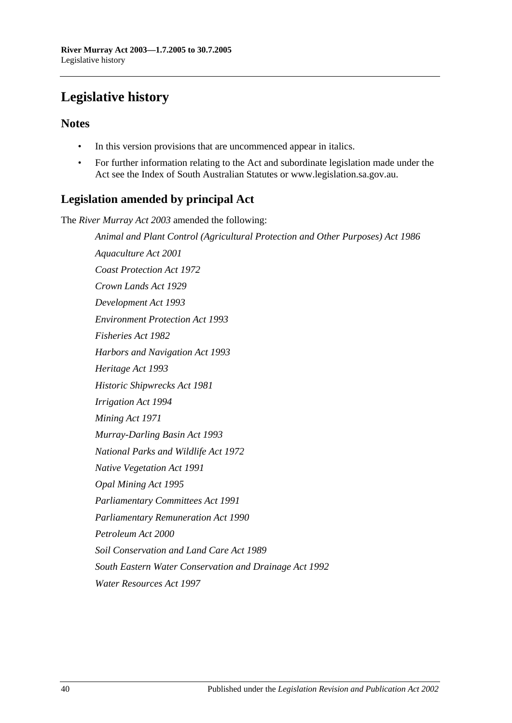## <span id="page-39-0"></span>**Legislative history**

### **Notes**

- In this version provisions that are uncommenced appear in italics.
- For further information relating to the Act and subordinate legislation made under the Act see the Index of South Australian Statutes or www.legislation.sa.gov.au.

### **Legislation amended by principal Act**

The *River Murray Act 2003* amended the following:

*Animal and Plant Control (Agricultural Protection and Other Purposes) Act 1986 Aquaculture Act 2001 Coast Protection Act 1972 Crown Lands Act 1929 Development Act 1993 Environment Protection Act 1993 Fisheries Act 1982 Harbors and Navigation Act 1993 Heritage Act 1993 Historic Shipwrecks Act 1981 Irrigation Act 1994 Mining Act 1971 Murray-Darling Basin Act 1993 National Parks and Wildlife Act 1972 Native Vegetation Act 1991 Opal Mining Act 1995 Parliamentary Committees Act 1991 Parliamentary Remuneration Act 1990 Petroleum Act 2000 Soil Conservation and Land Care Act 1989 South Eastern Water Conservation and Drainage Act 1992 Water Resources Act 1997*